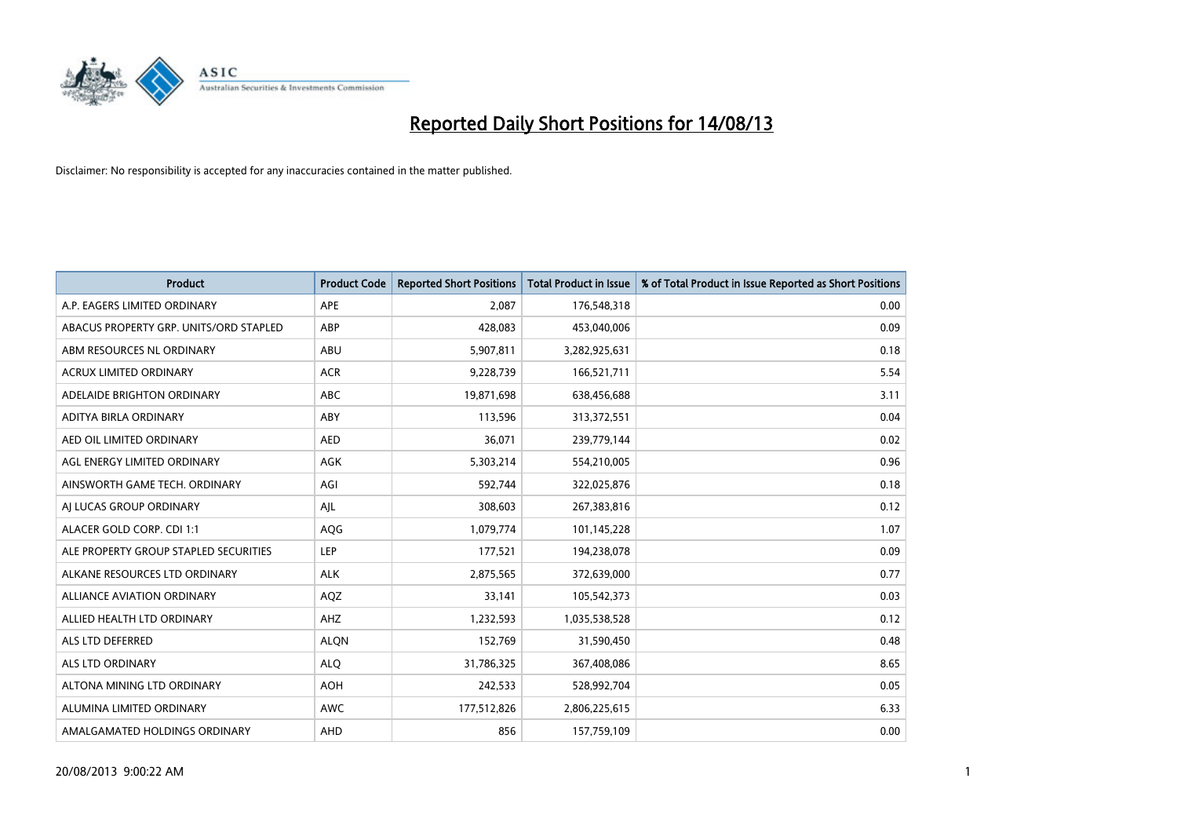

| <b>Product</b>                         | <b>Product Code</b> | <b>Reported Short Positions</b> | <b>Total Product in Issue</b> | % of Total Product in Issue Reported as Short Positions |
|----------------------------------------|---------------------|---------------------------------|-------------------------------|---------------------------------------------------------|
| A.P. EAGERS LIMITED ORDINARY           | <b>APE</b>          | 2,087                           | 176,548,318                   | 0.00                                                    |
| ABACUS PROPERTY GRP. UNITS/ORD STAPLED | ABP                 | 428,083                         | 453,040,006                   | 0.09                                                    |
| ABM RESOURCES NL ORDINARY              | ABU                 | 5,907,811                       | 3,282,925,631                 | 0.18                                                    |
| <b>ACRUX LIMITED ORDINARY</b>          | <b>ACR</b>          | 9,228,739                       | 166,521,711                   | 5.54                                                    |
| ADELAIDE BRIGHTON ORDINARY             | <b>ABC</b>          | 19,871,698                      | 638,456,688                   | 3.11                                                    |
| ADITYA BIRLA ORDINARY                  | ABY                 | 113,596                         | 313,372,551                   | 0.04                                                    |
| AED OIL LIMITED ORDINARY               | <b>AED</b>          | 36,071                          | 239,779,144                   | 0.02                                                    |
| AGL ENERGY LIMITED ORDINARY            | AGK                 | 5,303,214                       | 554,210,005                   | 0.96                                                    |
| AINSWORTH GAME TECH. ORDINARY          | AGI                 | 592,744                         | 322,025,876                   | 0.18                                                    |
| AI LUCAS GROUP ORDINARY                | AJL                 | 308,603                         | 267,383,816                   | 0.12                                                    |
| ALACER GOLD CORP. CDI 1:1              | AQG                 | 1,079,774                       | 101,145,228                   | 1.07                                                    |
| ALE PROPERTY GROUP STAPLED SECURITIES  | <b>LEP</b>          | 177,521                         | 194,238,078                   | 0.09                                                    |
| ALKANE RESOURCES LTD ORDINARY          | <b>ALK</b>          | 2,875,565                       | 372,639,000                   | 0.77                                                    |
| <b>ALLIANCE AVIATION ORDINARY</b>      | AQZ                 | 33,141                          | 105,542,373                   | 0.03                                                    |
| ALLIED HEALTH LTD ORDINARY             | AHZ                 | 1,232,593                       | 1,035,538,528                 | 0.12                                                    |
| ALS LTD DEFERRED                       | <b>ALQN</b>         | 152,769                         | 31,590,450                    | 0.48                                                    |
| ALS LTD ORDINARY                       | <b>ALQ</b>          | 31,786,325                      | 367,408,086                   | 8.65                                                    |
| ALTONA MINING LTD ORDINARY             | <b>AOH</b>          | 242,533                         | 528,992,704                   | 0.05                                                    |
| ALUMINA LIMITED ORDINARY               | <b>AWC</b>          | 177,512,826                     | 2,806,225,615                 | 6.33                                                    |
| AMALGAMATED HOLDINGS ORDINARY          | AHD                 | 856                             | 157,759,109                   | 0.00                                                    |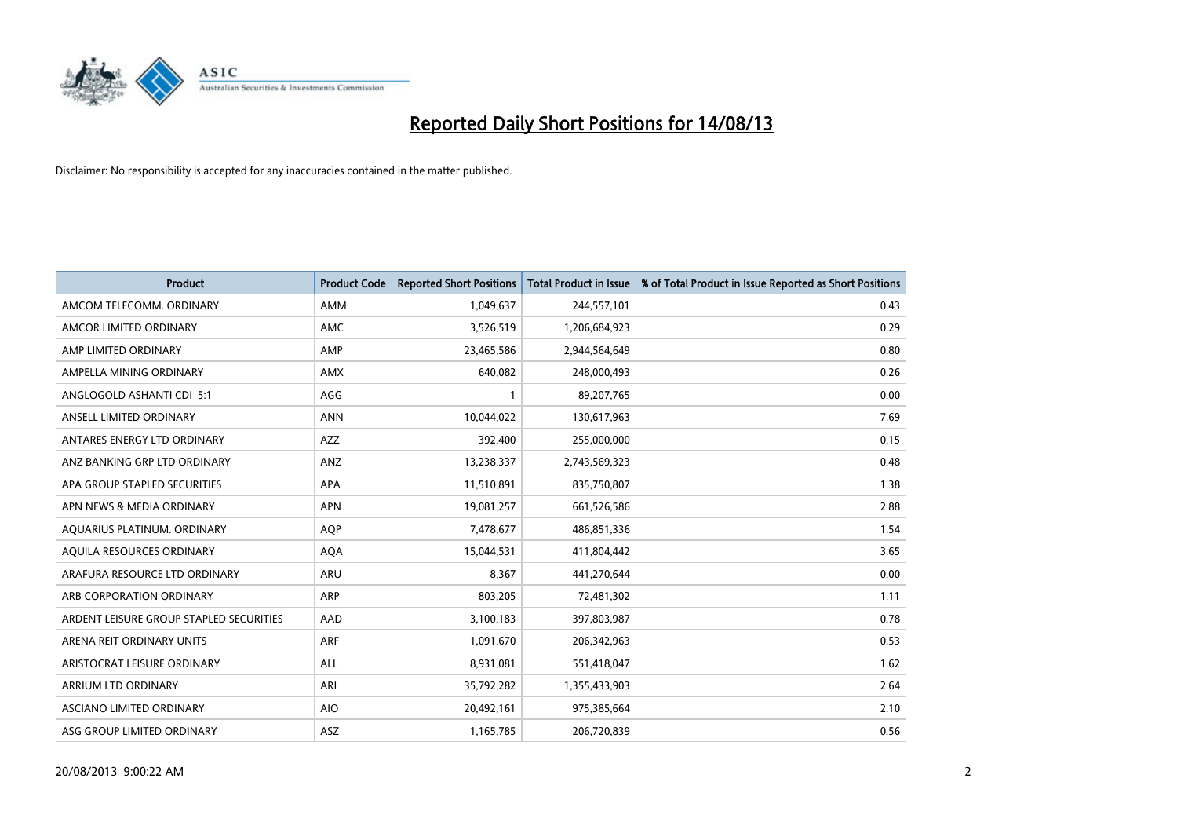

| <b>Product</b>                          | <b>Product Code</b> | <b>Reported Short Positions</b> | <b>Total Product in Issue</b> | % of Total Product in Issue Reported as Short Positions |
|-----------------------------------------|---------------------|---------------------------------|-------------------------------|---------------------------------------------------------|
| AMCOM TELECOMM, ORDINARY                | AMM                 | 1,049,637                       | 244,557,101                   | 0.43                                                    |
| AMCOR LIMITED ORDINARY                  | AMC                 | 3,526,519                       | 1,206,684,923                 | 0.29                                                    |
| AMP LIMITED ORDINARY                    | AMP                 | 23,465,586                      | 2,944,564,649                 | 0.80                                                    |
| AMPELLA MINING ORDINARY                 | <b>AMX</b>          | 640,082                         | 248,000,493                   | 0.26                                                    |
| ANGLOGOLD ASHANTI CDI 5:1               | AGG                 | $\mathbf{1}$                    | 89,207,765                    | 0.00                                                    |
| ANSELL LIMITED ORDINARY                 | <b>ANN</b>          | 10,044,022                      | 130,617,963                   | 7.69                                                    |
| ANTARES ENERGY LTD ORDINARY             | AZZ                 | 392,400                         | 255,000,000                   | 0.15                                                    |
| ANZ BANKING GRP LTD ORDINARY            | ANZ                 | 13,238,337                      | 2,743,569,323                 | 0.48                                                    |
| APA GROUP STAPLED SECURITIES            | APA                 | 11,510,891                      | 835,750,807                   | 1.38                                                    |
| APN NEWS & MEDIA ORDINARY               | <b>APN</b>          | 19,081,257                      | 661,526,586                   | 2.88                                                    |
| AQUARIUS PLATINUM. ORDINARY             | AQP                 | 7,478,677                       | 486,851,336                   | 1.54                                                    |
| AQUILA RESOURCES ORDINARY               | <b>AQA</b>          | 15,044,531                      | 411,804,442                   | 3.65                                                    |
| ARAFURA RESOURCE LTD ORDINARY           | <b>ARU</b>          | 8,367                           | 441,270,644                   | 0.00                                                    |
| ARB CORPORATION ORDINARY                | ARP                 | 803,205                         | 72,481,302                    | 1.11                                                    |
| ARDENT LEISURE GROUP STAPLED SECURITIES | AAD                 | 3,100,183                       | 397,803,987                   | 0.78                                                    |
| ARENA REIT ORDINARY UNITS               | <b>ARF</b>          | 1,091,670                       | 206,342,963                   | 0.53                                                    |
| ARISTOCRAT LEISURE ORDINARY             | ALL                 | 8,931,081                       | 551,418,047                   | 1.62                                                    |
| ARRIUM LTD ORDINARY                     | ARI                 | 35,792,282                      | 1,355,433,903                 | 2.64                                                    |
| ASCIANO LIMITED ORDINARY                | <b>AIO</b>          | 20,492,161                      | 975,385,664                   | 2.10                                                    |
| ASG GROUP LIMITED ORDINARY              | ASZ                 | 1,165,785                       | 206,720,839                   | 0.56                                                    |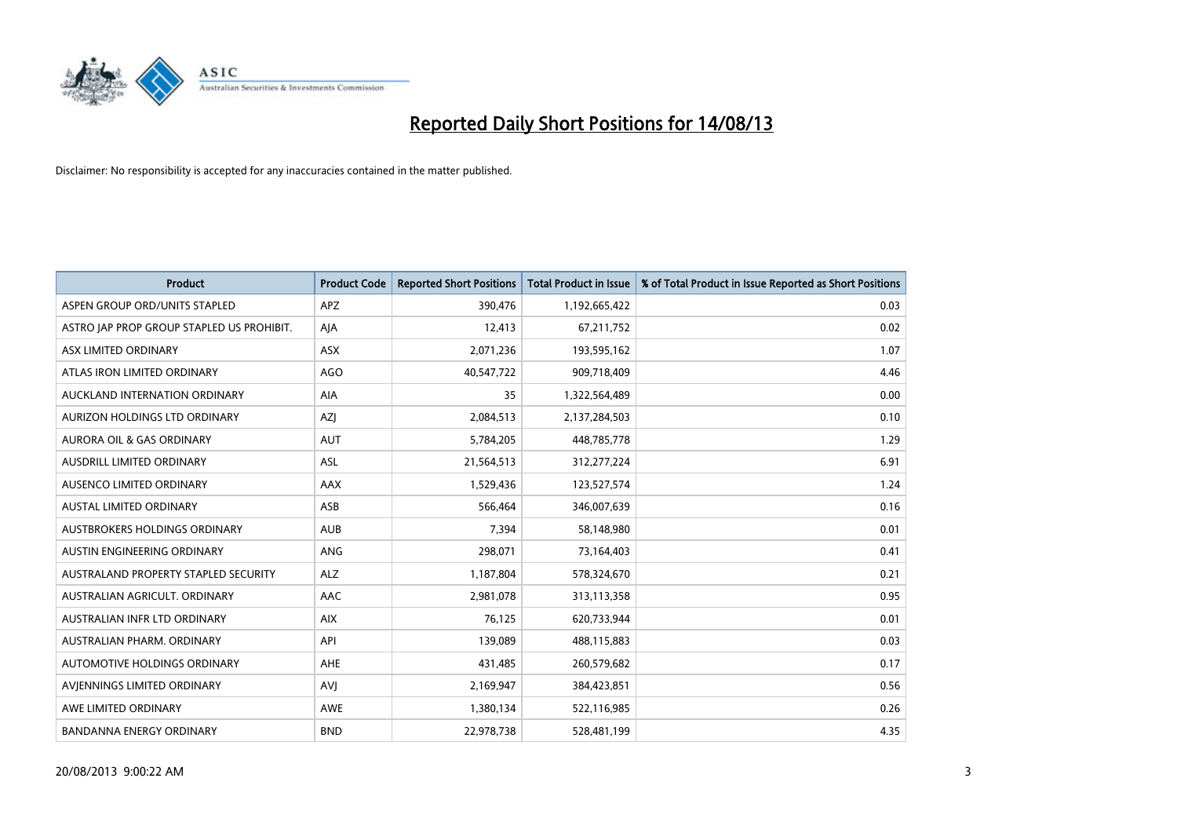

| Product                                   | <b>Product Code</b> | <b>Reported Short Positions</b> | <b>Total Product in Issue</b> | % of Total Product in Issue Reported as Short Positions |
|-------------------------------------------|---------------------|---------------------------------|-------------------------------|---------------------------------------------------------|
| ASPEN GROUP ORD/UNITS STAPLED             | <b>APZ</b>          | 390,476                         | 1,192,665,422                 | 0.03                                                    |
| ASTRO JAP PROP GROUP STAPLED US PROHIBIT. | AJA                 | 12,413                          | 67,211,752                    | 0.02                                                    |
| ASX LIMITED ORDINARY                      | <b>ASX</b>          | 2,071,236                       | 193,595,162                   | 1.07                                                    |
| ATLAS IRON LIMITED ORDINARY               | <b>AGO</b>          | 40,547,722                      | 909,718,409                   | 4.46                                                    |
| AUCKLAND INTERNATION ORDINARY             | AIA                 | 35                              | 1,322,564,489                 | 0.00                                                    |
| <b>AURIZON HOLDINGS LTD ORDINARY</b>      | AZJ                 | 2,084,513                       | 2,137,284,503                 | 0.10                                                    |
| <b>AURORA OIL &amp; GAS ORDINARY</b>      | <b>AUT</b>          | 5,784,205                       | 448,785,778                   | 1.29                                                    |
| <b>AUSDRILL LIMITED ORDINARY</b>          | <b>ASL</b>          | 21,564,513                      | 312,277,224                   | 6.91                                                    |
| AUSENCO LIMITED ORDINARY                  | AAX                 | 1,529,436                       | 123,527,574                   | 1.24                                                    |
| <b>AUSTAL LIMITED ORDINARY</b>            | ASB                 | 566,464                         | 346,007,639                   | 0.16                                                    |
| AUSTBROKERS HOLDINGS ORDINARY             | <b>AUB</b>          | 7,394                           | 58,148,980                    | 0.01                                                    |
| AUSTIN ENGINEERING ORDINARY               | ANG                 | 298,071                         | 73,164,403                    | 0.41                                                    |
| AUSTRALAND PROPERTY STAPLED SECURITY      | <b>ALZ</b>          | 1,187,804                       | 578,324,670                   | 0.21                                                    |
| AUSTRALIAN AGRICULT, ORDINARY             | AAC                 | 2,981,078                       | 313,113,358                   | 0.95                                                    |
| AUSTRALIAN INFR LTD ORDINARY              | <b>AIX</b>          | 76,125                          | 620,733,944                   | 0.01                                                    |
| AUSTRALIAN PHARM. ORDINARY                | API                 | 139,089                         | 488,115,883                   | 0.03                                                    |
| AUTOMOTIVE HOLDINGS ORDINARY              | AHE                 | 431,485                         | 260,579,682                   | 0.17                                                    |
| AVJENNINGS LIMITED ORDINARY               | <b>AVJ</b>          | 2,169,947                       | 384,423,851                   | 0.56                                                    |
| AWE LIMITED ORDINARY                      | AWE                 | 1,380,134                       | 522,116,985                   | 0.26                                                    |
| BANDANNA ENERGY ORDINARY                  | <b>BND</b>          | 22,978,738                      | 528,481,199                   | 4.35                                                    |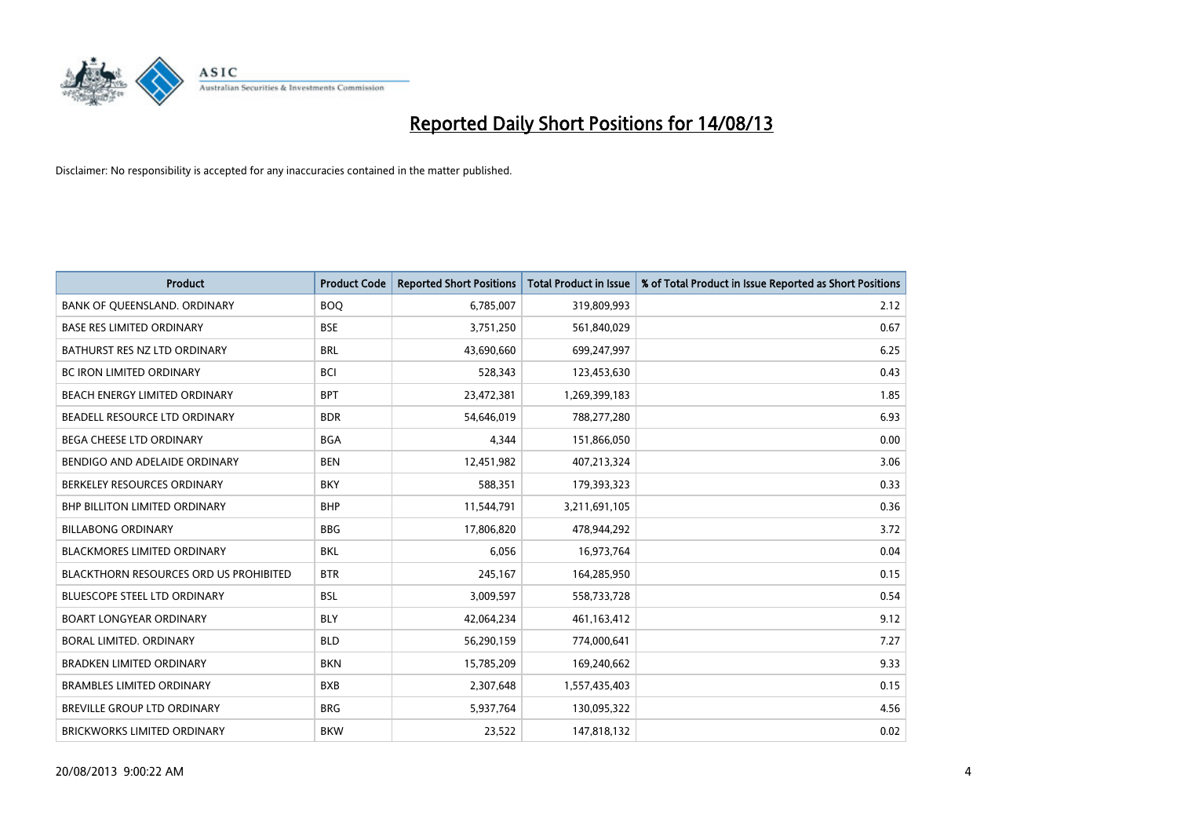

| <b>Product</b>                         | <b>Product Code</b> | <b>Reported Short Positions</b> | <b>Total Product in Issue</b> | % of Total Product in Issue Reported as Short Positions |
|----------------------------------------|---------------------|---------------------------------|-------------------------------|---------------------------------------------------------|
| BANK OF QUEENSLAND. ORDINARY           | <b>BOQ</b>          | 6,785,007                       | 319,809,993                   | 2.12                                                    |
| <b>BASE RES LIMITED ORDINARY</b>       | <b>BSE</b>          | 3,751,250                       | 561,840,029                   | 0.67                                                    |
| BATHURST RES NZ LTD ORDINARY           | <b>BRL</b>          | 43,690,660                      | 699,247,997                   | 6.25                                                    |
| <b>BC IRON LIMITED ORDINARY</b>        | BCI                 | 528,343                         | 123,453,630                   | 0.43                                                    |
| BEACH ENERGY LIMITED ORDINARY          | <b>BPT</b>          | 23,472,381                      | 1,269,399,183                 | 1.85                                                    |
| BEADELL RESOURCE LTD ORDINARY          | <b>BDR</b>          | 54,646,019                      | 788,277,280                   | 6.93                                                    |
| <b>BEGA CHEESE LTD ORDINARY</b>        | <b>BGA</b>          | 4,344                           | 151,866,050                   | 0.00                                                    |
| BENDIGO AND ADELAIDE ORDINARY          | <b>BEN</b>          | 12,451,982                      | 407,213,324                   | 3.06                                                    |
| BERKELEY RESOURCES ORDINARY            | <b>BKY</b>          | 588,351                         | 179,393,323                   | 0.33                                                    |
| <b>BHP BILLITON LIMITED ORDINARY</b>   | <b>BHP</b>          | 11,544,791                      | 3,211,691,105                 | 0.36                                                    |
| <b>BILLABONG ORDINARY</b>              | <b>BBG</b>          | 17,806,820                      | 478,944,292                   | 3.72                                                    |
| <b>BLACKMORES LIMITED ORDINARY</b>     | <b>BKL</b>          | 6,056                           | 16,973,764                    | 0.04                                                    |
| BLACKTHORN RESOURCES ORD US PROHIBITED | <b>BTR</b>          | 245,167                         | 164,285,950                   | 0.15                                                    |
| <b>BLUESCOPE STEEL LTD ORDINARY</b>    | <b>BSL</b>          | 3,009,597                       | 558,733,728                   | 0.54                                                    |
| <b>BOART LONGYEAR ORDINARY</b>         | <b>BLY</b>          | 42,064,234                      | 461,163,412                   | 9.12                                                    |
| BORAL LIMITED. ORDINARY                | <b>BLD</b>          | 56,290,159                      | 774,000,641                   | 7.27                                                    |
| <b>BRADKEN LIMITED ORDINARY</b>        | <b>BKN</b>          | 15,785,209                      | 169,240,662                   | 9.33                                                    |
| <b>BRAMBLES LIMITED ORDINARY</b>       | <b>BXB</b>          | 2,307,648                       | 1,557,435,403                 | 0.15                                                    |
| BREVILLE GROUP LTD ORDINARY            | <b>BRG</b>          | 5,937,764                       | 130,095,322                   | 4.56                                                    |
| BRICKWORKS LIMITED ORDINARY            | <b>BKW</b>          | 23,522                          | 147,818,132                   | 0.02                                                    |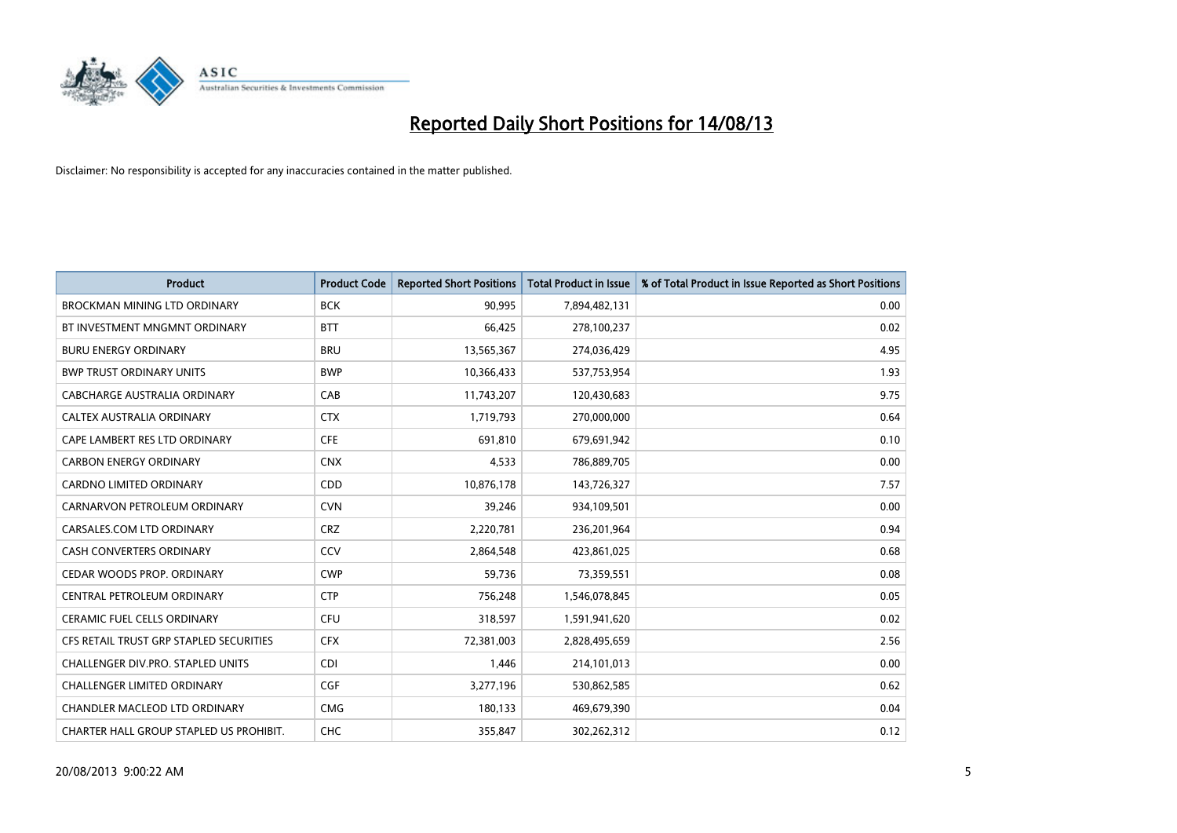

| <b>Product</b>                          | <b>Product Code</b> | <b>Reported Short Positions</b> | <b>Total Product in Issue</b> | % of Total Product in Issue Reported as Short Positions |
|-----------------------------------------|---------------------|---------------------------------|-------------------------------|---------------------------------------------------------|
| <b>BROCKMAN MINING LTD ORDINARY</b>     | <b>BCK</b>          | 90,995                          | 7,894,482,131                 | 0.00                                                    |
| BT INVESTMENT MNGMNT ORDINARY           | <b>BTT</b>          | 66,425                          | 278,100,237                   | 0.02                                                    |
| <b>BURU ENERGY ORDINARY</b>             | <b>BRU</b>          | 13,565,367                      | 274,036,429                   | 4.95                                                    |
| <b>BWP TRUST ORDINARY UNITS</b>         | <b>BWP</b>          | 10,366,433                      | 537,753,954                   | 1.93                                                    |
| CABCHARGE AUSTRALIA ORDINARY            | CAB                 | 11,743,207                      | 120,430,683                   | 9.75                                                    |
| CALTEX AUSTRALIA ORDINARY               | <b>CTX</b>          | 1,719,793                       | 270,000,000                   | 0.64                                                    |
| CAPE LAMBERT RES LTD ORDINARY           | <b>CFE</b>          | 691,810                         | 679,691,942                   | 0.10                                                    |
| <b>CARBON ENERGY ORDINARY</b>           | <b>CNX</b>          | 4,533                           | 786,889,705                   | 0.00                                                    |
| <b>CARDNO LIMITED ORDINARY</b>          | CDD                 | 10,876,178                      | 143,726,327                   | 7.57                                                    |
| CARNARVON PETROLEUM ORDINARY            | <b>CVN</b>          | 39,246                          | 934,109,501                   | 0.00                                                    |
| CARSALES.COM LTD ORDINARY               | <b>CRZ</b>          | 2,220,781                       | 236,201,964                   | 0.94                                                    |
| <b>CASH CONVERTERS ORDINARY</b>         | CCV                 | 2,864,548                       | 423,861,025                   | 0.68                                                    |
| CEDAR WOODS PROP. ORDINARY              | <b>CWP</b>          | 59,736                          | 73,359,551                    | 0.08                                                    |
| CENTRAL PETROLEUM ORDINARY              | <b>CTP</b>          | 756,248                         | 1,546,078,845                 | 0.05                                                    |
| <b>CERAMIC FUEL CELLS ORDINARY</b>      | <b>CFU</b>          | 318,597                         | 1,591,941,620                 | 0.02                                                    |
| CFS RETAIL TRUST GRP STAPLED SECURITIES | <b>CFX</b>          | 72,381,003                      | 2,828,495,659                 | 2.56                                                    |
| CHALLENGER DIV.PRO. STAPLED UNITS       | <b>CDI</b>          | 1,446                           | 214,101,013                   | 0.00                                                    |
| <b>CHALLENGER LIMITED ORDINARY</b>      | <b>CGF</b>          | 3,277,196                       | 530,862,585                   | 0.62                                                    |
| CHANDLER MACLEOD LTD ORDINARY           | <b>CMG</b>          | 180,133                         | 469,679,390                   | 0.04                                                    |
| CHARTER HALL GROUP STAPLED US PROHIBIT. | <b>CHC</b>          | 355,847                         | 302,262,312                   | 0.12                                                    |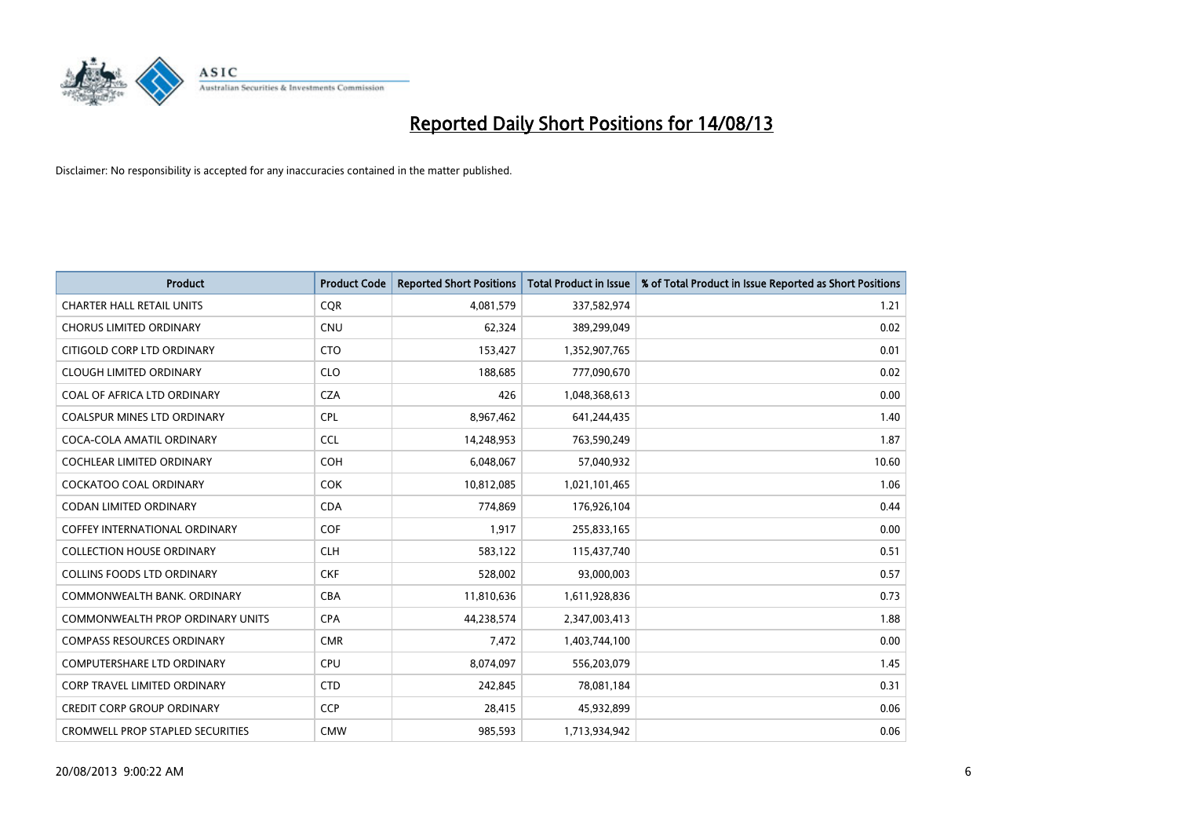

| <b>Product</b>                          | <b>Product Code</b> | <b>Reported Short Positions</b> | <b>Total Product in Issue</b> | % of Total Product in Issue Reported as Short Positions |
|-----------------------------------------|---------------------|---------------------------------|-------------------------------|---------------------------------------------------------|
| <b>CHARTER HALL RETAIL UNITS</b>        | <b>COR</b>          | 4,081,579                       | 337,582,974                   | 1.21                                                    |
| <b>CHORUS LIMITED ORDINARY</b>          | <b>CNU</b>          | 62,324                          | 389,299,049                   | 0.02                                                    |
| CITIGOLD CORP LTD ORDINARY              | <b>CTO</b>          | 153,427                         | 1,352,907,765                 | 0.01                                                    |
| <b>CLOUGH LIMITED ORDINARY</b>          | <b>CLO</b>          | 188,685                         | 777,090,670                   | 0.02                                                    |
| COAL OF AFRICA LTD ORDINARY             | <b>CZA</b>          | 426                             | 1,048,368,613                 | 0.00                                                    |
| <b>COALSPUR MINES LTD ORDINARY</b>      | <b>CPL</b>          | 8,967,462                       | 641,244,435                   | 1.40                                                    |
| COCA-COLA AMATIL ORDINARY               | <b>CCL</b>          | 14,248,953                      | 763,590,249                   | 1.87                                                    |
| COCHLEAR LIMITED ORDINARY               | <b>COH</b>          | 6,048,067                       | 57,040,932                    | 10.60                                                   |
| <b>COCKATOO COAL ORDINARY</b>           | <b>COK</b>          | 10,812,085                      | 1,021,101,465                 | 1.06                                                    |
| <b>CODAN LIMITED ORDINARY</b>           | <b>CDA</b>          | 774,869                         | 176,926,104                   | 0.44                                                    |
| COFFEY INTERNATIONAL ORDINARY           | <b>COF</b>          | 1,917                           | 255,833,165                   | 0.00                                                    |
| <b>COLLECTION HOUSE ORDINARY</b>        | <b>CLH</b>          | 583,122                         | 115,437,740                   | 0.51                                                    |
| <b>COLLINS FOODS LTD ORDINARY</b>       | <b>CKF</b>          | 528,002                         | 93,000,003                    | 0.57                                                    |
| COMMONWEALTH BANK, ORDINARY             | <b>CBA</b>          | 11,810,636                      | 1,611,928,836                 | 0.73                                                    |
| <b>COMMONWEALTH PROP ORDINARY UNITS</b> | <b>CPA</b>          | 44,238,574                      | 2,347,003,413                 | 1.88                                                    |
| <b>COMPASS RESOURCES ORDINARY</b>       | <b>CMR</b>          | 7,472                           | 1,403,744,100                 | 0.00                                                    |
| COMPUTERSHARE LTD ORDINARY              | <b>CPU</b>          | 8,074,097                       | 556,203,079                   | 1.45                                                    |
| <b>CORP TRAVEL LIMITED ORDINARY</b>     | <b>CTD</b>          | 242,845                         | 78,081,184                    | 0.31                                                    |
| <b>CREDIT CORP GROUP ORDINARY</b>       | <b>CCP</b>          | 28,415                          | 45,932,899                    | 0.06                                                    |
| <b>CROMWELL PROP STAPLED SECURITIES</b> | <b>CMW</b>          | 985,593                         | 1,713,934,942                 | 0.06                                                    |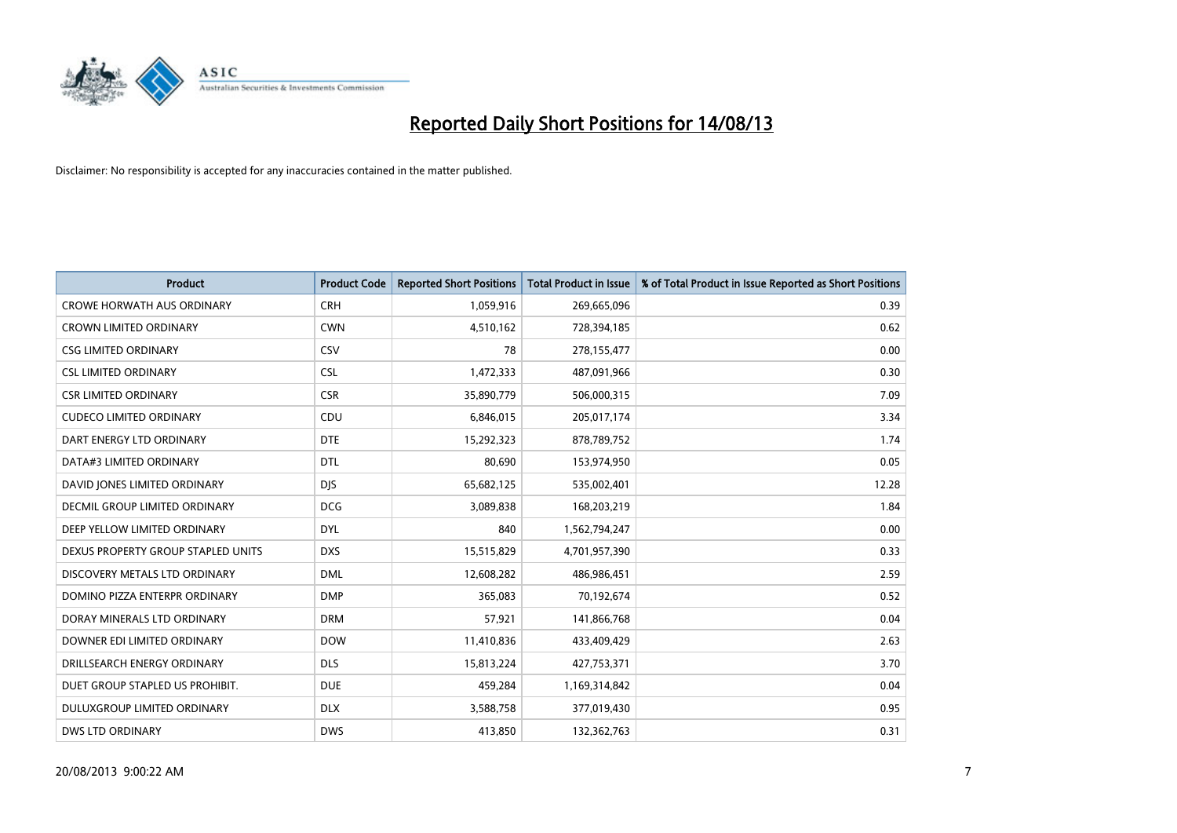

| <b>Product</b>                       | <b>Product Code</b> | <b>Reported Short Positions</b> | <b>Total Product in Issue</b> | % of Total Product in Issue Reported as Short Positions |
|--------------------------------------|---------------------|---------------------------------|-------------------------------|---------------------------------------------------------|
| <b>CROWE HORWATH AUS ORDINARY</b>    | <b>CRH</b>          | 1,059,916                       | 269,665,096                   | 0.39                                                    |
| CROWN LIMITED ORDINARY               | <b>CWN</b>          | 4,510,162                       | 728,394,185                   | 0.62                                                    |
| <b>CSG LIMITED ORDINARY</b>          | CSV                 | 78                              | 278,155,477                   | 0.00                                                    |
| <b>CSL LIMITED ORDINARY</b>          | <b>CSL</b>          | 1,472,333                       | 487,091,966                   | 0.30                                                    |
| <b>CSR LIMITED ORDINARY</b>          | <b>CSR</b>          | 35,890,779                      | 506,000,315                   | 7.09                                                    |
| <b>CUDECO LIMITED ORDINARY</b>       | CDU                 | 6,846,015                       | 205,017,174                   | 3.34                                                    |
| DART ENERGY LTD ORDINARY             | <b>DTE</b>          | 15,292,323                      | 878,789,752                   | 1.74                                                    |
| DATA#3 LIMITED ORDINARY              | <b>DTL</b>          | 80,690                          | 153,974,950                   | 0.05                                                    |
| DAVID JONES LIMITED ORDINARY         | <b>DJS</b>          | 65,682,125                      | 535,002,401                   | 12.28                                                   |
| <b>DECMIL GROUP LIMITED ORDINARY</b> | <b>DCG</b>          | 3,089,838                       | 168,203,219                   | 1.84                                                    |
| DEEP YELLOW LIMITED ORDINARY         | <b>DYL</b>          | 840                             | 1,562,794,247                 | 0.00                                                    |
| DEXUS PROPERTY GROUP STAPLED UNITS   | <b>DXS</b>          | 15,515,829                      | 4,701,957,390                 | 0.33                                                    |
| DISCOVERY METALS LTD ORDINARY        | <b>DML</b>          | 12,608,282                      | 486,986,451                   | 2.59                                                    |
| DOMINO PIZZA ENTERPR ORDINARY        | <b>DMP</b>          | 365,083                         | 70,192,674                    | 0.52                                                    |
| DORAY MINERALS LTD ORDINARY          | <b>DRM</b>          | 57,921                          | 141,866,768                   | 0.04                                                    |
| DOWNER EDI LIMITED ORDINARY          | <b>DOW</b>          | 11,410,836                      | 433,409,429                   | 2.63                                                    |
| DRILLSEARCH ENERGY ORDINARY          | <b>DLS</b>          | 15,813,224                      | 427,753,371                   | 3.70                                                    |
| DUET GROUP STAPLED US PROHIBIT.      | <b>DUE</b>          | 459,284                         | 1,169,314,842                 | 0.04                                                    |
| DULUXGROUP LIMITED ORDINARY          | <b>DLX</b>          | 3,588,758                       | 377,019,430                   | 0.95                                                    |
| <b>DWS LTD ORDINARY</b>              | <b>DWS</b>          | 413,850                         | 132,362,763                   | 0.31                                                    |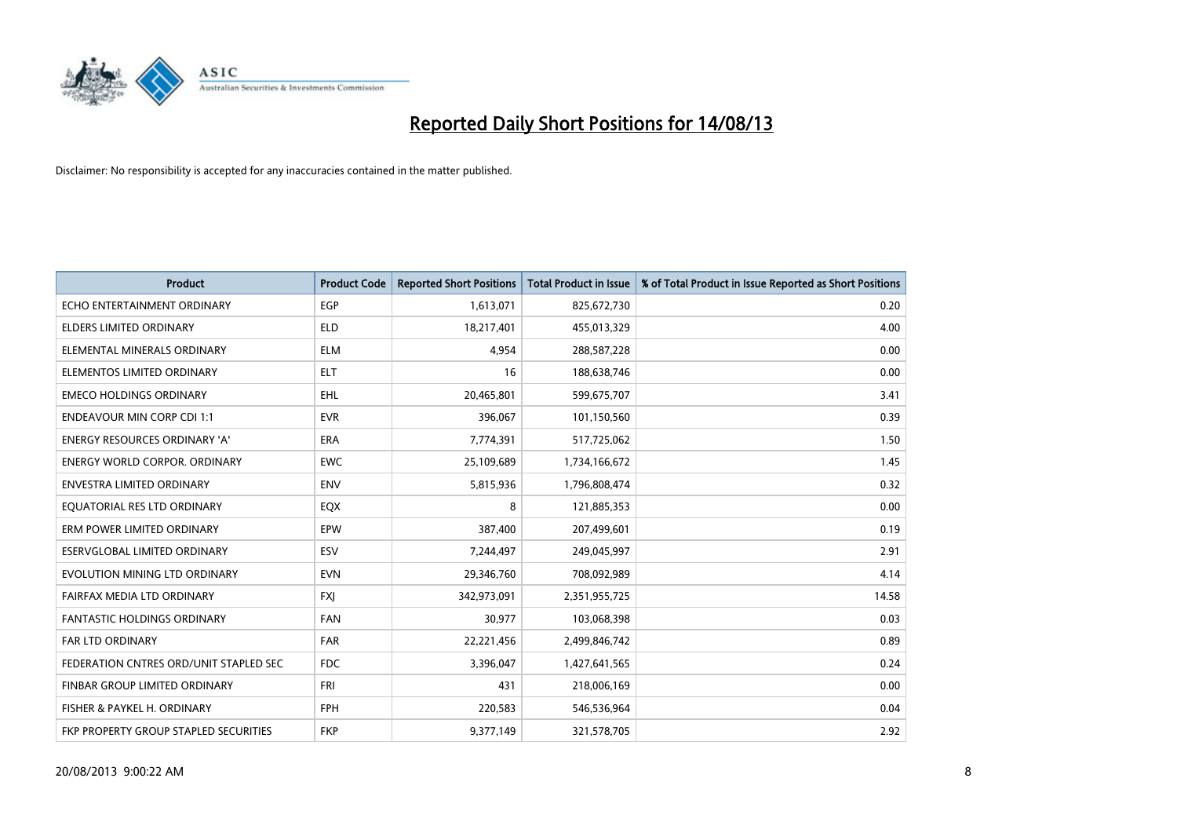

| <b>Product</b>                         | <b>Product Code</b> | <b>Reported Short Positions</b> | <b>Total Product in Issue</b> | % of Total Product in Issue Reported as Short Positions |
|----------------------------------------|---------------------|---------------------------------|-------------------------------|---------------------------------------------------------|
| ECHO ENTERTAINMENT ORDINARY            | <b>EGP</b>          | 1,613,071                       | 825,672,730                   | 0.20                                                    |
| ELDERS LIMITED ORDINARY                | ELD                 | 18,217,401                      | 455,013,329                   | 4.00                                                    |
| ELEMENTAL MINERALS ORDINARY            | <b>ELM</b>          | 4,954                           | 288,587,228                   | 0.00                                                    |
| ELEMENTOS LIMITED ORDINARY             | <b>ELT</b>          | 16                              | 188,638,746                   | 0.00                                                    |
| <b>EMECO HOLDINGS ORDINARY</b>         | EHL.                | 20,465,801                      | 599,675,707                   | 3.41                                                    |
| <b>ENDEAVOUR MIN CORP CDI 1:1</b>      | <b>EVR</b>          | 396,067                         | 101,150,560                   | 0.39                                                    |
| <b>ENERGY RESOURCES ORDINARY 'A'</b>   | <b>ERA</b>          | 7,774,391                       | 517,725,062                   | 1.50                                                    |
| <b>ENERGY WORLD CORPOR, ORDINARY</b>   | <b>EWC</b>          | 25,109,689                      | 1,734,166,672                 | 1.45                                                    |
| <b>ENVESTRA LIMITED ORDINARY</b>       | <b>ENV</b>          | 5,815,936                       | 1,796,808,474                 | 0.32                                                    |
| EQUATORIAL RES LTD ORDINARY            | EQX                 | 8                               | 121,885,353                   | 0.00                                                    |
| ERM POWER LIMITED ORDINARY             | EPW                 | 387,400                         | 207,499,601                   | 0.19                                                    |
| ESERVGLOBAL LIMITED ORDINARY           | ESV                 | 7,244,497                       | 249,045,997                   | 2.91                                                    |
| EVOLUTION MINING LTD ORDINARY          | <b>EVN</b>          | 29,346,760                      | 708,092,989                   | 4.14                                                    |
| FAIRFAX MEDIA LTD ORDINARY             | <b>FXI</b>          | 342,973,091                     | 2,351,955,725                 | 14.58                                                   |
| <b>FANTASTIC HOLDINGS ORDINARY</b>     | <b>FAN</b>          | 30,977                          | 103,068,398                   | 0.03                                                    |
| FAR LTD ORDINARY                       | <b>FAR</b>          | 22,221,456                      | 2,499,846,742                 | 0.89                                                    |
| FEDERATION CNTRES ORD/UNIT STAPLED SEC | <b>FDC</b>          | 3,396,047                       | 1,427,641,565                 | 0.24                                                    |
| FINBAR GROUP LIMITED ORDINARY          | <b>FRI</b>          | 431                             | 218,006,169                   | 0.00                                                    |
| FISHER & PAYKEL H. ORDINARY            | <b>FPH</b>          | 220,583                         | 546,536,964                   | 0.04                                                    |
| FKP PROPERTY GROUP STAPLED SECURITIES  | <b>FKP</b>          | 9,377,149                       | 321,578,705                   | 2.92                                                    |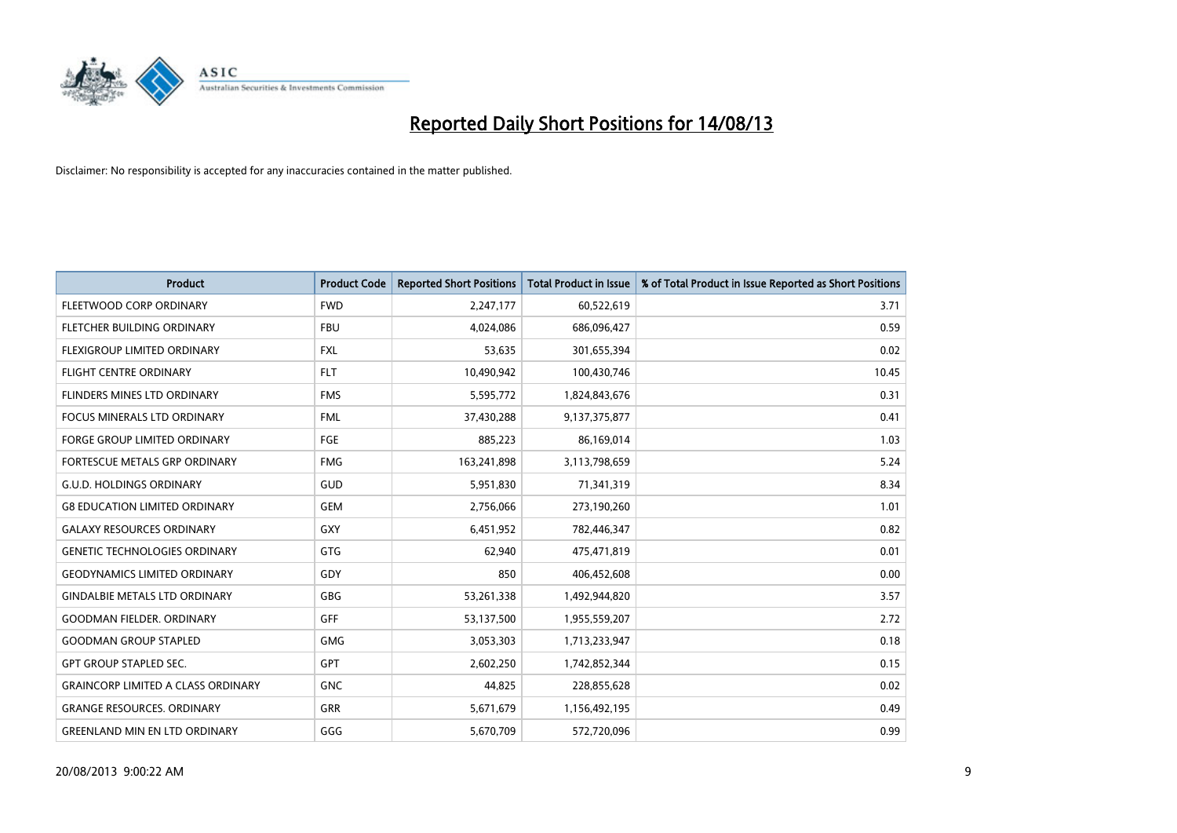

| <b>Product</b>                            | <b>Product Code</b> | <b>Reported Short Positions</b> | <b>Total Product in Issue</b> | % of Total Product in Issue Reported as Short Positions |
|-------------------------------------------|---------------------|---------------------------------|-------------------------------|---------------------------------------------------------|
| FLEETWOOD CORP ORDINARY                   | <b>FWD</b>          | 2,247,177                       | 60,522,619                    | 3.71                                                    |
| FLETCHER BUILDING ORDINARY                | <b>FBU</b>          | 4,024,086                       | 686,096,427                   | 0.59                                                    |
| FLEXIGROUP LIMITED ORDINARY               | <b>FXL</b>          | 53,635                          | 301,655,394                   | 0.02                                                    |
| <b>FLIGHT CENTRE ORDINARY</b>             | <b>FLT</b>          | 10,490,942                      | 100,430,746                   | 10.45                                                   |
| FLINDERS MINES LTD ORDINARY               | <b>FMS</b>          | 5,595,772                       | 1,824,843,676                 | 0.31                                                    |
| <b>FOCUS MINERALS LTD ORDINARY</b>        | <b>FML</b>          | 37,430,288                      | 9,137,375,877                 | 0.41                                                    |
| <b>FORGE GROUP LIMITED ORDINARY</b>       | <b>FGE</b>          | 885,223                         | 86,169,014                    | 1.03                                                    |
| FORTESCUE METALS GRP ORDINARY             | <b>FMG</b>          | 163,241,898                     | 3,113,798,659                 | 5.24                                                    |
| <b>G.U.D. HOLDINGS ORDINARY</b>           | GUD                 | 5,951,830                       | 71,341,319                    | 8.34                                                    |
| <b>G8 EDUCATION LIMITED ORDINARY</b>      | <b>GEM</b>          | 2,756,066                       | 273,190,260                   | 1.01                                                    |
| <b>GALAXY RESOURCES ORDINARY</b>          | GXY                 | 6,451,952                       | 782,446,347                   | 0.82                                                    |
| <b>GENETIC TECHNOLOGIES ORDINARY</b>      | GTG                 | 62,940                          | 475,471,819                   | 0.01                                                    |
| <b>GEODYNAMICS LIMITED ORDINARY</b>       | GDY                 | 850                             | 406,452,608                   | 0.00                                                    |
| <b>GINDALBIE METALS LTD ORDINARY</b>      | GBG                 | 53,261,338                      | 1,492,944,820                 | 3.57                                                    |
| <b>GOODMAN FIELDER, ORDINARY</b>          | <b>GFF</b>          | 53,137,500                      | 1,955,559,207                 | 2.72                                                    |
| <b>GOODMAN GROUP STAPLED</b>              | GMG                 | 3,053,303                       | 1,713,233,947                 | 0.18                                                    |
| <b>GPT GROUP STAPLED SEC.</b>             | GPT                 | 2,602,250                       | 1,742,852,344                 | 0.15                                                    |
| <b>GRAINCORP LIMITED A CLASS ORDINARY</b> | <b>GNC</b>          | 44,825                          | 228,855,628                   | 0.02                                                    |
| <b>GRANGE RESOURCES, ORDINARY</b>         | GRR                 | 5,671,679                       | 1,156,492,195                 | 0.49                                                    |
| <b>GREENLAND MIN EN LTD ORDINARY</b>      | GGG                 | 5,670,709                       | 572,720,096                   | 0.99                                                    |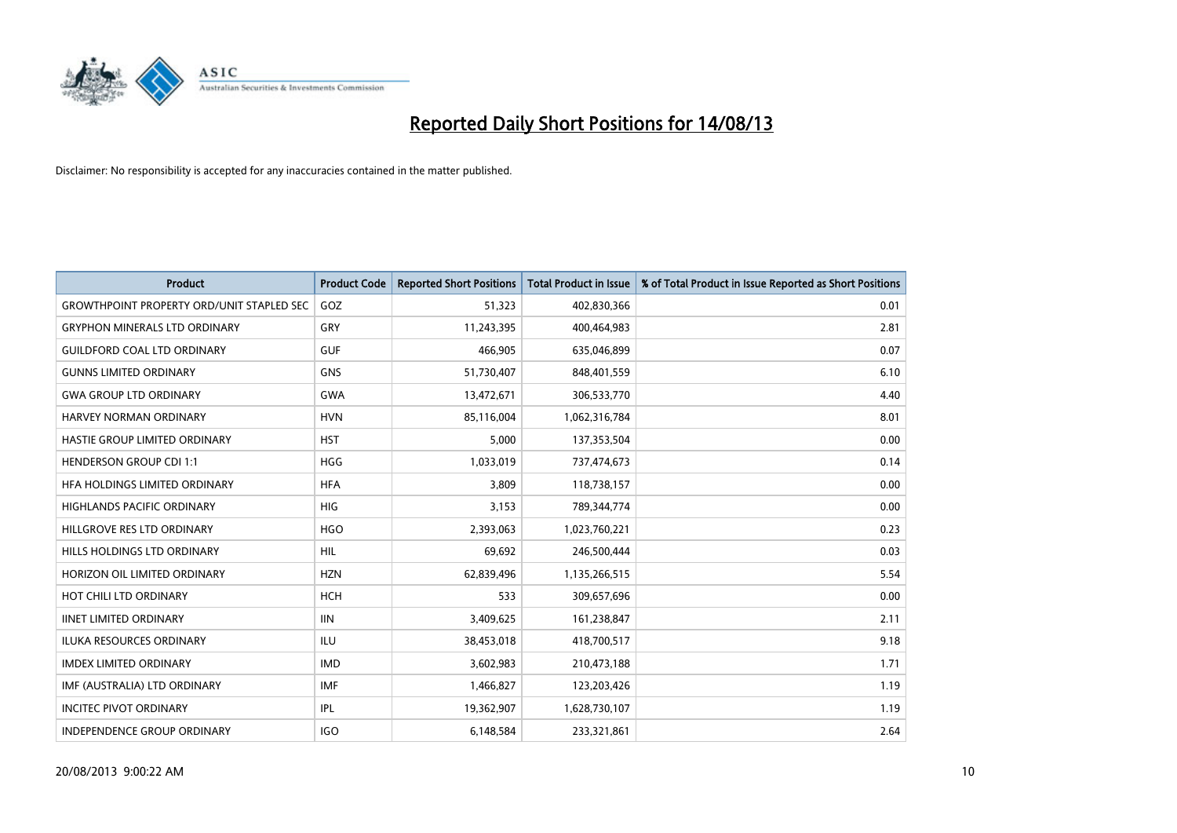

| <b>Product</b>                                   | <b>Product Code</b> | <b>Reported Short Positions</b> | Total Product in Issue | % of Total Product in Issue Reported as Short Positions |
|--------------------------------------------------|---------------------|---------------------------------|------------------------|---------------------------------------------------------|
| <b>GROWTHPOINT PROPERTY ORD/UNIT STAPLED SEC</b> | GOZ                 | 51,323                          | 402,830,366            | 0.01                                                    |
| <b>GRYPHON MINERALS LTD ORDINARY</b>             | GRY                 | 11,243,395                      | 400,464,983            | 2.81                                                    |
| <b>GUILDFORD COAL LTD ORDINARY</b>               | <b>GUF</b>          | 466,905                         | 635,046,899            | 0.07                                                    |
| <b>GUNNS LIMITED ORDINARY</b>                    | <b>GNS</b>          | 51,730,407                      | 848,401,559            | 6.10                                                    |
| <b>GWA GROUP LTD ORDINARY</b>                    | <b>GWA</b>          | 13,472,671                      | 306,533,770            | 4.40                                                    |
| HARVEY NORMAN ORDINARY                           | <b>HVN</b>          | 85,116,004                      | 1,062,316,784          | 8.01                                                    |
| HASTIE GROUP LIMITED ORDINARY                    | <b>HST</b>          | 5,000                           | 137,353,504            | 0.00                                                    |
| <b>HENDERSON GROUP CDI 1:1</b>                   | <b>HGG</b>          | 1,033,019                       | 737,474,673            | 0.14                                                    |
| HFA HOLDINGS LIMITED ORDINARY                    | <b>HFA</b>          | 3,809                           | 118,738,157            | 0.00                                                    |
| <b>HIGHLANDS PACIFIC ORDINARY</b>                | HIG                 | 3,153                           | 789,344,774            | 0.00                                                    |
| HILLGROVE RES LTD ORDINARY                       | <b>HGO</b>          | 2,393,063                       | 1,023,760,221          | 0.23                                                    |
| HILLS HOLDINGS LTD ORDINARY                      | <b>HIL</b>          | 69,692                          | 246,500,444            | 0.03                                                    |
| HORIZON OIL LIMITED ORDINARY                     | <b>HZN</b>          | 62,839,496                      | 1,135,266,515          | 5.54                                                    |
| HOT CHILI LTD ORDINARY                           | <b>HCH</b>          | 533                             | 309,657,696            | 0.00                                                    |
| <b>IINET LIMITED ORDINARY</b>                    | <b>IIN</b>          | 3,409,625                       | 161,238,847            | 2.11                                                    |
| <b>ILUKA RESOURCES ORDINARY</b>                  | <b>ILU</b>          | 38,453,018                      | 418,700,517            | 9.18                                                    |
| <b>IMDEX LIMITED ORDINARY</b>                    | <b>IMD</b>          | 3,602,983                       | 210,473,188            | 1.71                                                    |
| IMF (AUSTRALIA) LTD ORDINARY                     | <b>IMF</b>          | 1,466,827                       | 123,203,426            | 1.19                                                    |
| <b>INCITEC PIVOT ORDINARY</b>                    | <b>IPL</b>          | 19,362,907                      | 1,628,730,107          | 1.19                                                    |
| INDEPENDENCE GROUP ORDINARY                      | <b>IGO</b>          | 6,148,584                       | 233,321,861            | 2.64                                                    |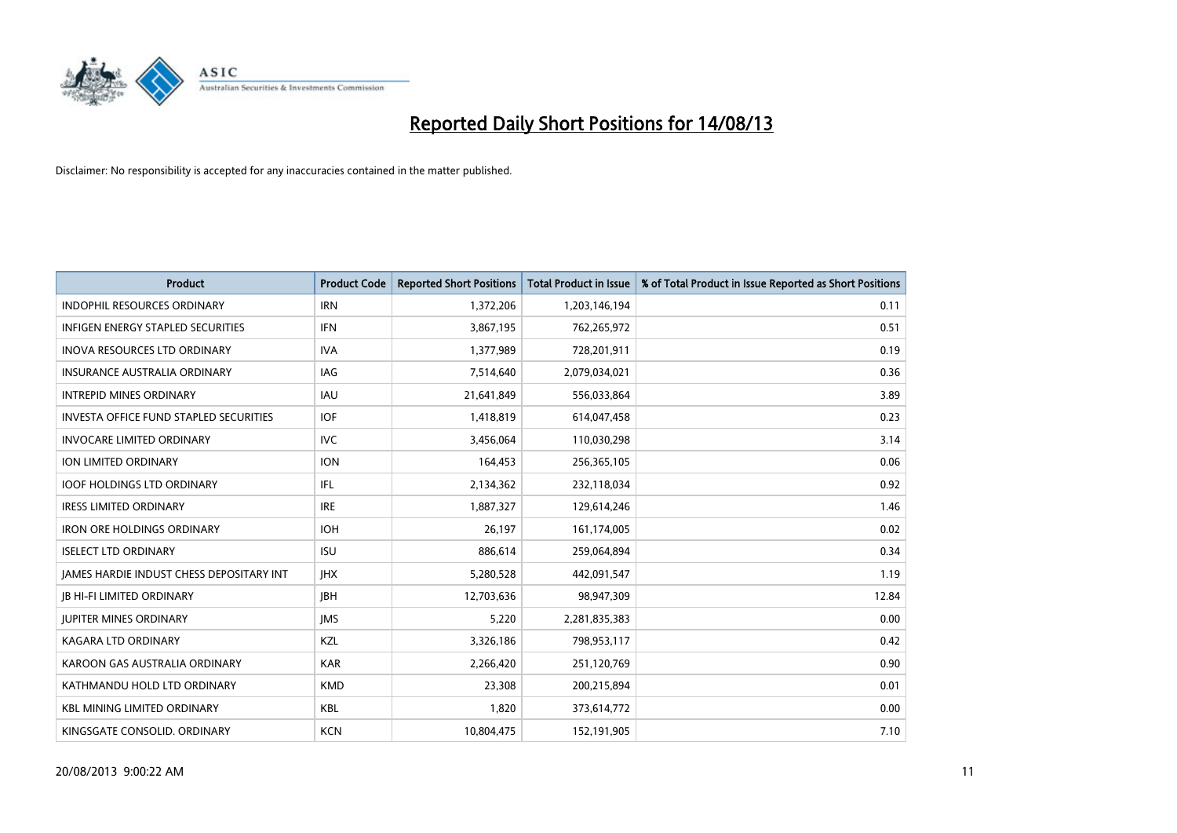

| <b>Product</b>                                | <b>Product Code</b> | <b>Reported Short Positions</b> | <b>Total Product in Issue</b> | % of Total Product in Issue Reported as Short Positions |
|-----------------------------------------------|---------------------|---------------------------------|-------------------------------|---------------------------------------------------------|
| <b>INDOPHIL RESOURCES ORDINARY</b>            | <b>IRN</b>          | 1,372,206                       | 1,203,146,194                 | 0.11                                                    |
| INFIGEN ENERGY STAPLED SECURITIES             | IFN                 | 3,867,195                       | 762,265,972                   | 0.51                                                    |
| <b>INOVA RESOURCES LTD ORDINARY</b>           | <b>IVA</b>          | 1,377,989                       | 728,201,911                   | 0.19                                                    |
| <b>INSURANCE AUSTRALIA ORDINARY</b>           | IAG                 | 7,514,640                       | 2,079,034,021                 | 0.36                                                    |
| <b>INTREPID MINES ORDINARY</b>                | <b>IAU</b>          | 21,641,849                      | 556,033,864                   | 3.89                                                    |
| <b>INVESTA OFFICE FUND STAPLED SECURITIES</b> | <b>IOF</b>          | 1,418,819                       | 614,047,458                   | 0.23                                                    |
| <b>INVOCARE LIMITED ORDINARY</b>              | IVC.                | 3,456,064                       | 110,030,298                   | 3.14                                                    |
| ION LIMITED ORDINARY                          | <b>ION</b>          | 164,453                         | 256,365,105                   | 0.06                                                    |
| <b>IOOF HOLDINGS LTD ORDINARY</b>             | IFL                 | 2,134,362                       | 232,118,034                   | 0.92                                                    |
| <b>IRESS LIMITED ORDINARY</b>                 | <b>IRE</b>          | 1,887,327                       | 129,614,246                   | 1.46                                                    |
| <b>IRON ORE HOLDINGS ORDINARY</b>             | <b>IOH</b>          | 26,197                          | 161,174,005                   | 0.02                                                    |
| <b>ISELECT LTD ORDINARY</b>                   | <b>ISU</b>          | 886,614                         | 259,064,894                   | 0.34                                                    |
| JAMES HARDIE INDUST CHESS DEPOSITARY INT      | <b>IHX</b>          | 5,280,528                       | 442,091,547                   | 1.19                                                    |
| <b>JB HI-FI LIMITED ORDINARY</b>              | <b>IBH</b>          | 12,703,636                      | 98,947,309                    | 12.84                                                   |
| <b>JUPITER MINES ORDINARY</b>                 | <b>IMS</b>          | 5,220                           | 2,281,835,383                 | 0.00                                                    |
| KAGARA LTD ORDINARY                           | KZL                 | 3,326,186                       | 798,953,117                   | 0.42                                                    |
| KAROON GAS AUSTRALIA ORDINARY                 | <b>KAR</b>          | 2,266,420                       | 251,120,769                   | 0.90                                                    |
| KATHMANDU HOLD LTD ORDINARY                   | <b>KMD</b>          | 23,308                          | 200,215,894                   | 0.01                                                    |
| <b>KBL MINING LIMITED ORDINARY</b>            | <b>KBL</b>          | 1,820                           | 373,614,772                   | 0.00                                                    |
| KINGSGATE CONSOLID. ORDINARY                  | <b>KCN</b>          | 10,804,475                      | 152,191,905                   | 7.10                                                    |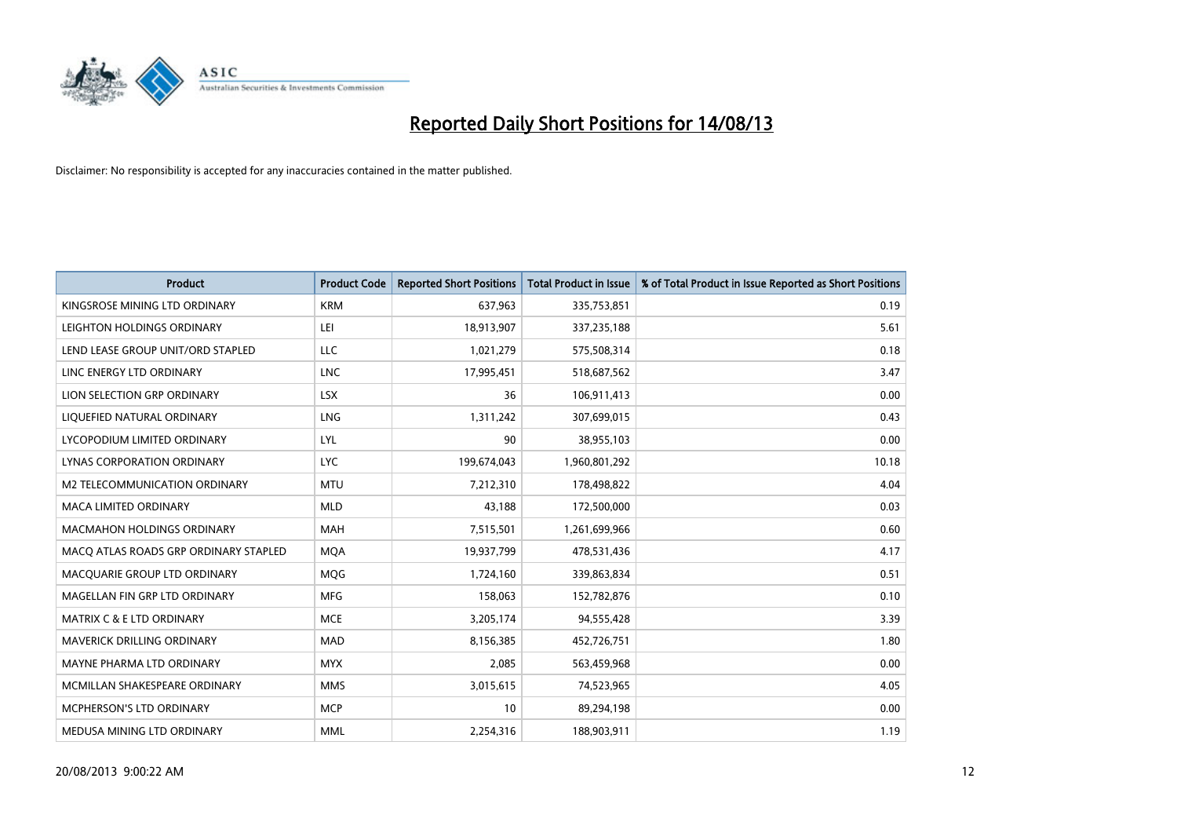

| <b>Product</b>                        | <b>Product Code</b> | <b>Reported Short Positions</b> | <b>Total Product in Issue</b> | % of Total Product in Issue Reported as Short Positions |
|---------------------------------------|---------------------|---------------------------------|-------------------------------|---------------------------------------------------------|
| KINGSROSE MINING LTD ORDINARY         | <b>KRM</b>          | 637,963                         | 335,753,851                   | 0.19                                                    |
| LEIGHTON HOLDINGS ORDINARY            | LEI                 | 18,913,907                      | 337,235,188                   | 5.61                                                    |
| LEND LEASE GROUP UNIT/ORD STAPLED     | <b>LLC</b>          | 1,021,279                       | 575,508,314                   | 0.18                                                    |
| LINC ENERGY LTD ORDINARY              | LNC                 | 17,995,451                      | 518,687,562                   | 3.47                                                    |
| LION SELECTION GRP ORDINARY           | <b>LSX</b>          | 36                              | 106,911,413                   | 0.00                                                    |
| LIQUEFIED NATURAL ORDINARY            | <b>LNG</b>          | 1,311,242                       | 307,699,015                   | 0.43                                                    |
| LYCOPODIUM LIMITED ORDINARY           | <b>LYL</b>          | 90                              | 38,955,103                    | 0.00                                                    |
| LYNAS CORPORATION ORDINARY            | <b>LYC</b>          | 199,674,043                     | 1,960,801,292                 | 10.18                                                   |
| M2 TELECOMMUNICATION ORDINARY         | <b>MTU</b>          | 7,212,310                       | 178,498,822                   | 4.04                                                    |
| <b>MACA LIMITED ORDINARY</b>          | <b>MLD</b>          | 43,188                          | 172,500,000                   | 0.03                                                    |
| MACMAHON HOLDINGS ORDINARY            | MAH                 | 7,515,501                       | 1,261,699,966                 | 0.60                                                    |
| MACO ATLAS ROADS GRP ORDINARY STAPLED | <b>MQA</b>          | 19,937,799                      | 478,531,436                   | 4.17                                                    |
| MACQUARIE GROUP LTD ORDINARY          | <b>MOG</b>          | 1,724,160                       | 339,863,834                   | 0.51                                                    |
| MAGELLAN FIN GRP LTD ORDINARY         | <b>MFG</b>          | 158,063                         | 152,782,876                   | 0.10                                                    |
| <b>MATRIX C &amp; E LTD ORDINARY</b>  | <b>MCE</b>          | 3,205,174                       | 94,555,428                    | 3.39                                                    |
| MAVERICK DRILLING ORDINARY            | MAD                 | 8,156,385                       | 452,726,751                   | 1.80                                                    |
| MAYNE PHARMA LTD ORDINARY             | <b>MYX</b>          | 2,085                           | 563,459,968                   | 0.00                                                    |
| MCMILLAN SHAKESPEARE ORDINARY         | <b>MMS</b>          | 3,015,615                       | 74,523,965                    | 4.05                                                    |
| MCPHERSON'S LTD ORDINARY              | <b>MCP</b>          | 10                              | 89,294,198                    | 0.00                                                    |
| MEDUSA MINING LTD ORDINARY            | <b>MML</b>          | 2,254,316                       | 188,903,911                   | 1.19                                                    |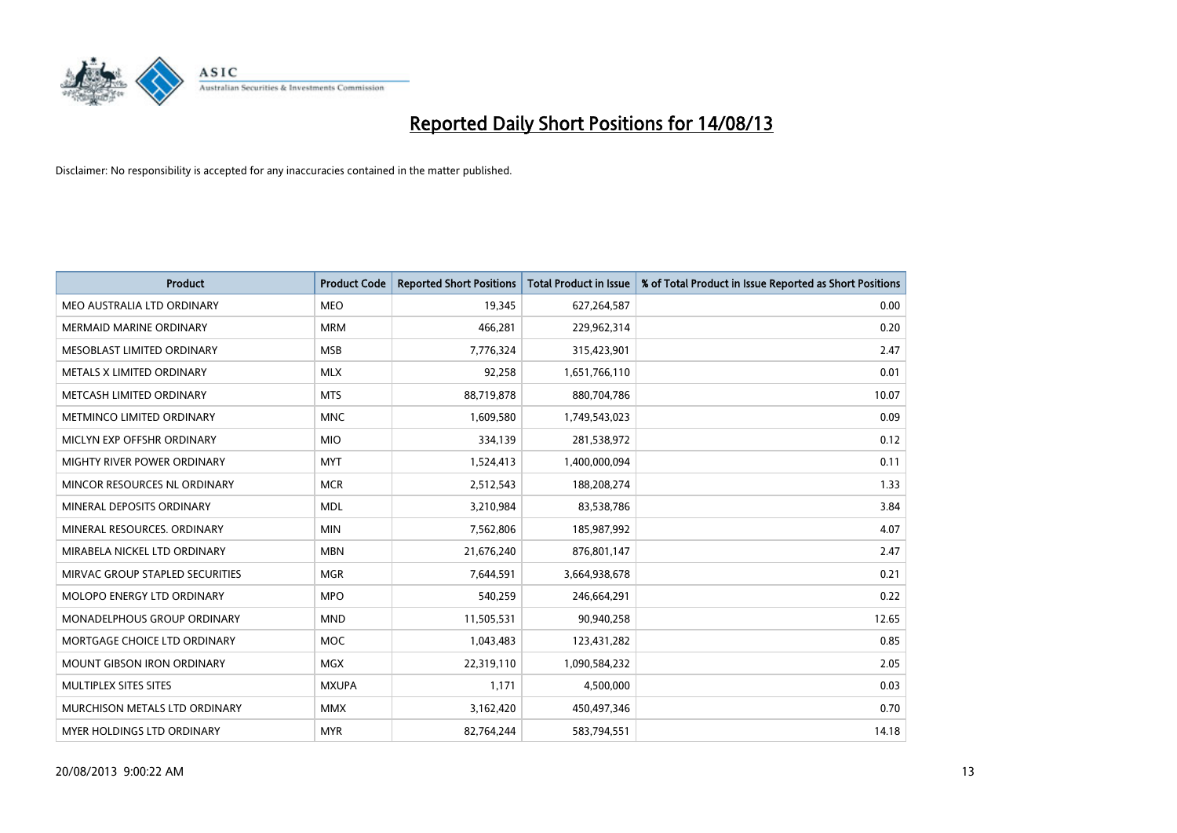

| <b>Product</b>                  | <b>Product Code</b> | <b>Reported Short Positions</b> | <b>Total Product in Issue</b> | % of Total Product in Issue Reported as Short Positions |
|---------------------------------|---------------------|---------------------------------|-------------------------------|---------------------------------------------------------|
| MEO AUSTRALIA LTD ORDINARY      | <b>MEO</b>          | 19,345                          | 627,264,587                   | 0.00                                                    |
| MERMAID MARINE ORDINARY         | <b>MRM</b>          | 466,281                         | 229,962,314                   | 0.20                                                    |
| MESOBLAST LIMITED ORDINARY      | <b>MSB</b>          | 7,776,324                       | 315,423,901                   | 2.47                                                    |
| METALS X LIMITED ORDINARY       | <b>MLX</b>          | 92,258                          | 1,651,766,110                 | 0.01                                                    |
| METCASH LIMITED ORDINARY        | <b>MTS</b>          | 88,719,878                      | 880,704,786                   | 10.07                                                   |
| METMINCO LIMITED ORDINARY       | <b>MNC</b>          | 1,609,580                       | 1,749,543,023                 | 0.09                                                    |
| MICLYN EXP OFFSHR ORDINARY      | <b>MIO</b>          | 334,139                         | 281,538,972                   | 0.12                                                    |
| MIGHTY RIVER POWER ORDINARY     | <b>MYT</b>          | 1,524,413                       | 1,400,000,094                 | 0.11                                                    |
| MINCOR RESOURCES NL ORDINARY    | <b>MCR</b>          | 2,512,543                       | 188,208,274                   | 1.33                                                    |
| MINERAL DEPOSITS ORDINARY       | <b>MDL</b>          | 3,210,984                       | 83,538,786                    | 3.84                                                    |
| MINERAL RESOURCES. ORDINARY     | <b>MIN</b>          | 7,562,806                       | 185,987,992                   | 4.07                                                    |
| MIRABELA NICKEL LTD ORDINARY    | <b>MBN</b>          | 21,676,240                      | 876,801,147                   | 2.47                                                    |
| MIRVAC GROUP STAPLED SECURITIES | <b>MGR</b>          | 7,644,591                       | 3,664,938,678                 | 0.21                                                    |
| MOLOPO ENERGY LTD ORDINARY      | <b>MPO</b>          | 540,259                         | 246,664,291                   | 0.22                                                    |
| MONADELPHOUS GROUP ORDINARY     | <b>MND</b>          | 11,505,531                      | 90,940,258                    | 12.65                                                   |
| MORTGAGE CHOICE LTD ORDINARY    | MOC                 | 1,043,483                       | 123,431,282                   | 0.85                                                    |
| MOUNT GIBSON IRON ORDINARY      | <b>MGX</b>          | 22,319,110                      | 1,090,584,232                 | 2.05                                                    |
| MULTIPLEX SITES SITES           | <b>MXUPA</b>        | 1,171                           | 4,500,000                     | 0.03                                                    |
| MURCHISON METALS LTD ORDINARY   | <b>MMX</b>          | 3,162,420                       | 450,497,346                   | 0.70                                                    |
| MYER HOLDINGS LTD ORDINARY      | <b>MYR</b>          | 82,764,244                      | 583,794,551                   | 14.18                                                   |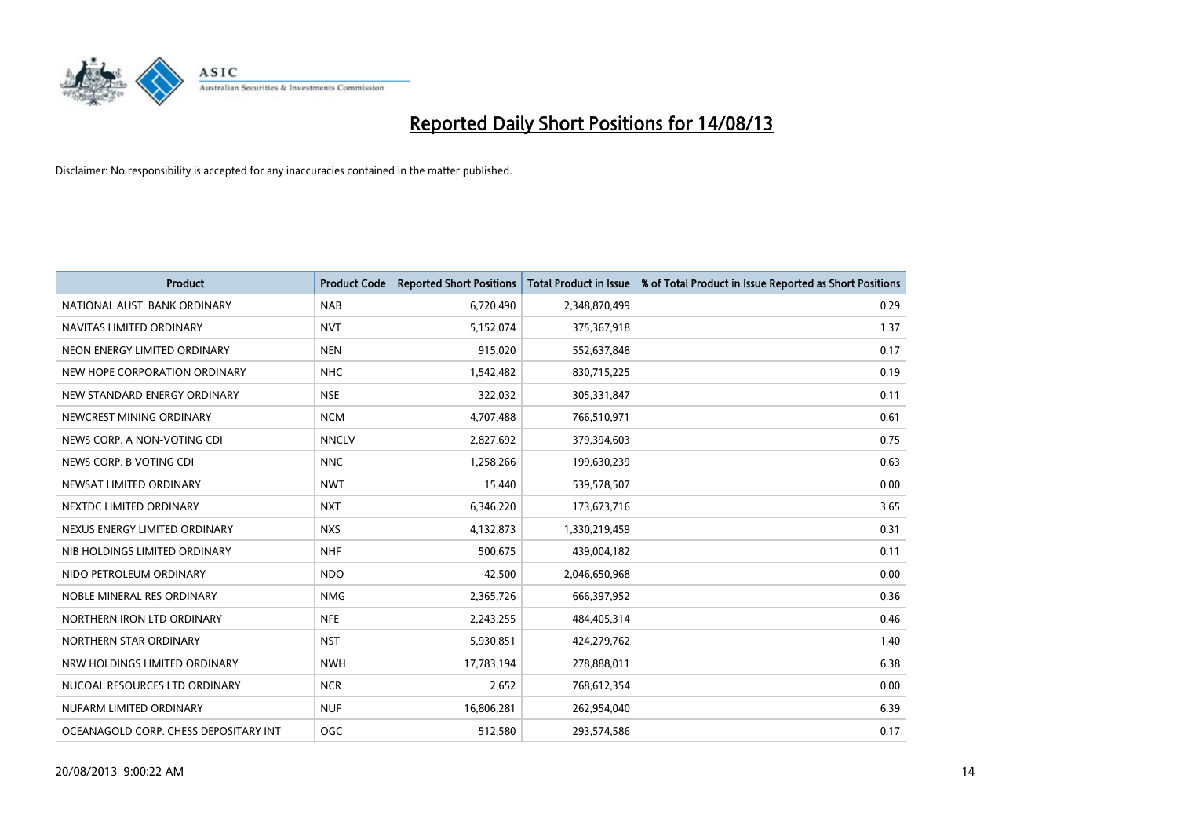

| Product                               | <b>Product Code</b> | <b>Reported Short Positions</b> | <b>Total Product in Issue</b> | % of Total Product in Issue Reported as Short Positions |
|---------------------------------------|---------------------|---------------------------------|-------------------------------|---------------------------------------------------------|
| NATIONAL AUST, BANK ORDINARY          | <b>NAB</b>          | 6,720,490                       | 2,348,870,499                 | 0.29                                                    |
| NAVITAS LIMITED ORDINARY              | <b>NVT</b>          | 5,152,074                       | 375,367,918                   | 1.37                                                    |
| NEON ENERGY LIMITED ORDINARY          | <b>NEN</b>          | 915,020                         | 552,637,848                   | 0.17                                                    |
| NEW HOPE CORPORATION ORDINARY         | <b>NHC</b>          | 1,542,482                       | 830,715,225                   | 0.19                                                    |
| NEW STANDARD ENERGY ORDINARY          | <b>NSE</b>          | 322,032                         | 305,331,847                   | 0.11                                                    |
| NEWCREST MINING ORDINARY              | <b>NCM</b>          | 4,707,488                       | 766,510,971                   | 0.61                                                    |
| NEWS CORP. A NON-VOTING CDI           | <b>NNCLV</b>        | 2,827,692                       | 379,394,603                   | 0.75                                                    |
| NEWS CORP. B VOTING CDI               | <b>NNC</b>          | 1,258,266                       | 199,630,239                   | 0.63                                                    |
| NEWSAT LIMITED ORDINARY               | <b>NWT</b>          | 15,440                          | 539,578,507                   | 0.00                                                    |
| NEXTDC LIMITED ORDINARY               | <b>NXT</b>          | 6,346,220                       | 173,673,716                   | 3.65                                                    |
| NEXUS ENERGY LIMITED ORDINARY         | <b>NXS</b>          | 4,132,873                       | 1,330,219,459                 | 0.31                                                    |
| NIB HOLDINGS LIMITED ORDINARY         | <b>NHF</b>          | 500,675                         | 439,004,182                   | 0.11                                                    |
| NIDO PETROLEUM ORDINARY               | <b>NDO</b>          | 42,500                          | 2,046,650,968                 | 0.00                                                    |
| NOBLE MINERAL RES ORDINARY            | <b>NMG</b>          | 2,365,726                       | 666,397,952                   | 0.36                                                    |
| NORTHERN IRON LTD ORDINARY            | <b>NFE</b>          | 2,243,255                       | 484,405,314                   | 0.46                                                    |
| NORTHERN STAR ORDINARY                | <b>NST</b>          | 5,930,851                       | 424,279,762                   | 1.40                                                    |
| NRW HOLDINGS LIMITED ORDINARY         | <b>NWH</b>          | 17,783,194                      | 278,888,011                   | 6.38                                                    |
| NUCOAL RESOURCES LTD ORDINARY         | <b>NCR</b>          | 2,652                           | 768,612,354                   | 0.00                                                    |
| NUFARM LIMITED ORDINARY               | <b>NUF</b>          | 16,806,281                      | 262,954,040                   | 6.39                                                    |
| OCEANAGOLD CORP. CHESS DEPOSITARY INT | <b>OGC</b>          | 512,580                         | 293,574,586                   | 0.17                                                    |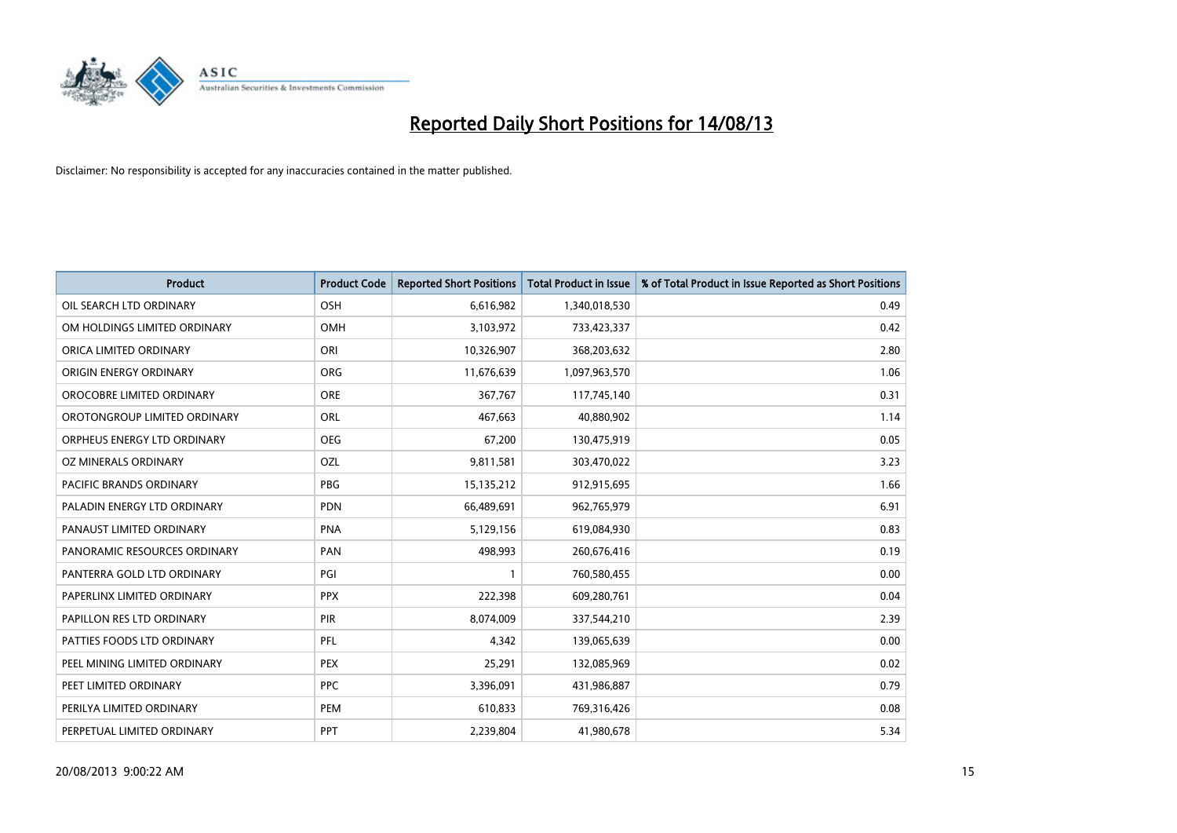

| <b>Product</b>                 | <b>Product Code</b> | <b>Reported Short Positions</b> | Total Product in Issue | % of Total Product in Issue Reported as Short Positions |
|--------------------------------|---------------------|---------------------------------|------------------------|---------------------------------------------------------|
| OIL SEARCH LTD ORDINARY        | OSH                 | 6,616,982                       | 1,340,018,530          | 0.49                                                    |
| OM HOLDINGS LIMITED ORDINARY   | OMH                 | 3,103,972                       | 733,423,337            | 0.42                                                    |
| ORICA LIMITED ORDINARY         | ORI                 | 10,326,907                      | 368,203,632            | 2.80                                                    |
| ORIGIN ENERGY ORDINARY         | <b>ORG</b>          | 11,676,639                      | 1,097,963,570          | 1.06                                                    |
| OROCOBRE LIMITED ORDINARY      | <b>ORE</b>          | 367,767                         | 117,745,140            | 0.31                                                    |
| OROTONGROUP LIMITED ORDINARY   | <b>ORL</b>          | 467,663                         | 40,880,902             | 1.14                                                    |
| ORPHEUS ENERGY LTD ORDINARY    | <b>OEG</b>          | 67,200                          | 130,475,919            | 0.05                                                    |
| OZ MINERALS ORDINARY           | OZL                 | 9,811,581                       | 303,470,022            | 3.23                                                    |
| <b>PACIFIC BRANDS ORDINARY</b> | <b>PBG</b>          | 15,135,212                      | 912,915,695            | 1.66                                                    |
| PALADIN ENERGY LTD ORDINARY    | <b>PDN</b>          | 66,489,691                      | 962,765,979            | 6.91                                                    |
| PANAUST LIMITED ORDINARY       | <b>PNA</b>          | 5,129,156                       | 619,084,930            | 0.83                                                    |
| PANORAMIC RESOURCES ORDINARY   | PAN                 | 498,993                         | 260,676,416            | 0.19                                                    |
| PANTERRA GOLD LTD ORDINARY     | PGI                 | $\mathbf{1}$                    | 760,580,455            | 0.00                                                    |
| PAPERLINX LIMITED ORDINARY     | <b>PPX</b>          | 222,398                         | 609,280,761            | 0.04                                                    |
| PAPILLON RES LTD ORDINARY      | <b>PIR</b>          | 8,074,009                       | 337,544,210            | 2.39                                                    |
| PATTIES FOODS LTD ORDINARY     | PFL                 | 4,342                           | 139,065,639            | 0.00                                                    |
| PEEL MINING LIMITED ORDINARY   | PEX                 | 25,291                          | 132,085,969            | 0.02                                                    |
| PEET LIMITED ORDINARY          | <b>PPC</b>          | 3,396,091                       | 431,986,887            | 0.79                                                    |
| PERILYA LIMITED ORDINARY       | PEM                 | 610,833                         | 769,316,426            | 0.08                                                    |
| PERPETUAL LIMITED ORDINARY     | <b>PPT</b>          | 2,239,804                       | 41,980,678             | 5.34                                                    |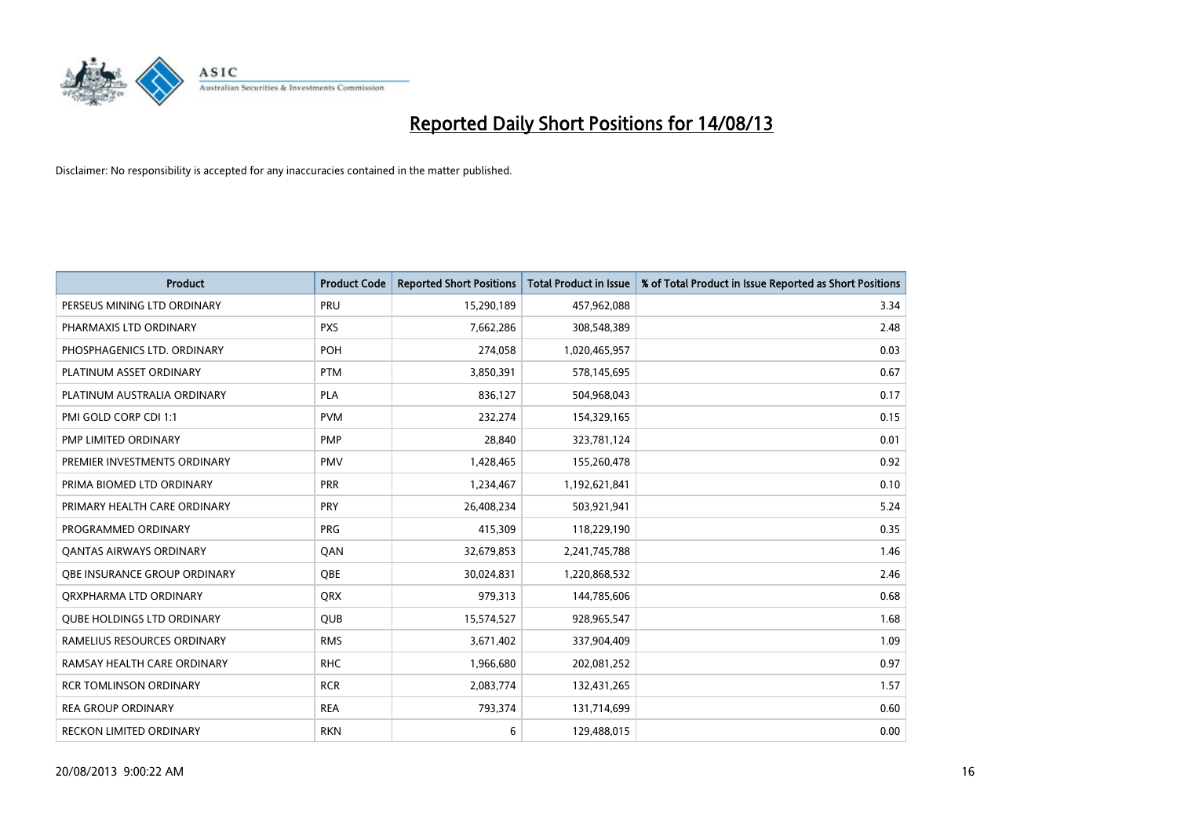

| <b>Product</b>                 | <b>Product Code</b> | <b>Reported Short Positions</b> | <b>Total Product in Issue</b> | % of Total Product in Issue Reported as Short Positions |
|--------------------------------|---------------------|---------------------------------|-------------------------------|---------------------------------------------------------|
| PERSEUS MINING LTD ORDINARY    | PRU                 | 15,290,189                      | 457,962,088                   | 3.34                                                    |
| PHARMAXIS LTD ORDINARY         | <b>PXS</b>          | 7,662,286                       | 308,548,389                   | 2.48                                                    |
| PHOSPHAGENICS LTD. ORDINARY    | <b>POH</b>          | 274,058                         | 1,020,465,957                 | 0.03                                                    |
| PLATINUM ASSET ORDINARY        | <b>PTM</b>          | 3,850,391                       | 578,145,695                   | 0.67                                                    |
| PLATINUM AUSTRALIA ORDINARY    | <b>PLA</b>          | 836,127                         | 504,968,043                   | 0.17                                                    |
| PMI GOLD CORP CDI 1:1          | <b>PVM</b>          | 232,274                         | 154,329,165                   | 0.15                                                    |
| PMP LIMITED ORDINARY           | <b>PMP</b>          | 28,840                          | 323,781,124                   | 0.01                                                    |
| PREMIER INVESTMENTS ORDINARY   | <b>PMV</b>          | 1,428,465                       | 155,260,478                   | 0.92                                                    |
| PRIMA BIOMED LTD ORDINARY      | <b>PRR</b>          | 1,234,467                       | 1,192,621,841                 | 0.10                                                    |
| PRIMARY HEALTH CARE ORDINARY   | <b>PRY</b>          | 26,408,234                      | 503,921,941                   | 5.24                                                    |
| PROGRAMMED ORDINARY            | <b>PRG</b>          | 415,309                         | 118,229,190                   | 0.35                                                    |
| <b>QANTAS AIRWAYS ORDINARY</b> | QAN                 | 32,679,853                      | 2,241,745,788                 | 1.46                                                    |
| OBE INSURANCE GROUP ORDINARY   | QBE                 | 30,024,831                      | 1,220,868,532                 | 2.46                                                    |
| ORXPHARMA LTD ORDINARY         | QRX                 | 979,313                         | 144,785,606                   | 0.68                                                    |
| QUBE HOLDINGS LTD ORDINARY     | <b>QUB</b>          | 15,574,527                      | 928,965,547                   | 1.68                                                    |
| RAMELIUS RESOURCES ORDINARY    | <b>RMS</b>          | 3,671,402                       | 337,904,409                   | 1.09                                                    |
| RAMSAY HEALTH CARE ORDINARY    | <b>RHC</b>          | 1,966,680                       | 202,081,252                   | 0.97                                                    |
| <b>RCR TOMLINSON ORDINARY</b>  | <b>RCR</b>          | 2,083,774                       | 132,431,265                   | 1.57                                                    |
| <b>REA GROUP ORDINARY</b>      | <b>REA</b>          | 793,374                         | 131,714,699                   | 0.60                                                    |
| <b>RECKON LIMITED ORDINARY</b> | <b>RKN</b>          | 6                               | 129,488,015                   | 0.00                                                    |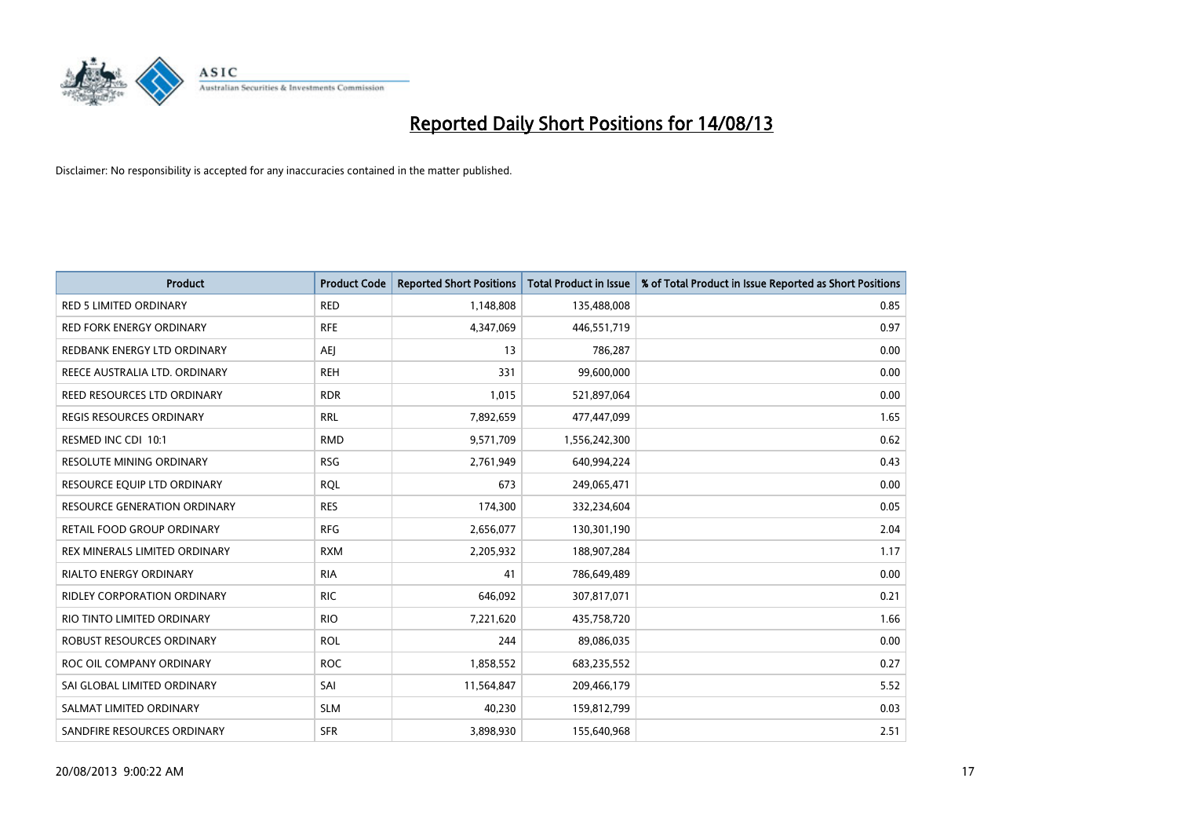

| <b>Product</b>                      | <b>Product Code</b> | <b>Reported Short Positions</b> | <b>Total Product in Issue</b> | % of Total Product in Issue Reported as Short Positions |
|-------------------------------------|---------------------|---------------------------------|-------------------------------|---------------------------------------------------------|
| <b>RED 5 LIMITED ORDINARY</b>       | <b>RED</b>          | 1,148,808                       | 135,488,008                   | 0.85                                                    |
| <b>RED FORK ENERGY ORDINARY</b>     | <b>RFE</b>          | 4,347,069                       | 446,551,719                   | 0.97                                                    |
| REDBANK ENERGY LTD ORDINARY         | AEJ                 | 13                              | 786,287                       | 0.00                                                    |
| REECE AUSTRALIA LTD. ORDINARY       | <b>REH</b>          | 331                             | 99,600,000                    | 0.00                                                    |
| REED RESOURCES LTD ORDINARY         | <b>RDR</b>          | 1,015                           | 521,897,064                   | 0.00                                                    |
| <b>REGIS RESOURCES ORDINARY</b>     | <b>RRL</b>          | 7,892,659                       | 477,447,099                   | 1.65                                                    |
| RESMED INC CDI 10:1                 | <b>RMD</b>          | 9,571,709                       | 1,556,242,300                 | 0.62                                                    |
| RESOLUTE MINING ORDINARY            | <b>RSG</b>          | 2,761,949                       | 640,994,224                   | 0.43                                                    |
| RESOURCE EQUIP LTD ORDINARY         | <b>RQL</b>          | 673                             | 249,065,471                   | 0.00                                                    |
| <b>RESOURCE GENERATION ORDINARY</b> | <b>RES</b>          | 174,300                         | 332,234,604                   | 0.05                                                    |
| RETAIL FOOD GROUP ORDINARY          | <b>RFG</b>          | 2,656,077                       | 130,301,190                   | 2.04                                                    |
| REX MINERALS LIMITED ORDINARY       | <b>RXM</b>          | 2,205,932                       | 188,907,284                   | 1.17                                                    |
| <b>RIALTO ENERGY ORDINARY</b>       | <b>RIA</b>          | 41                              | 786,649,489                   | 0.00                                                    |
| <b>RIDLEY CORPORATION ORDINARY</b>  | <b>RIC</b>          | 646,092                         | 307,817,071                   | 0.21                                                    |
| RIO TINTO LIMITED ORDINARY          | <b>RIO</b>          | 7,221,620                       | 435,758,720                   | 1.66                                                    |
| ROBUST RESOURCES ORDINARY           | <b>ROL</b>          | 244                             | 89,086,035                    | 0.00                                                    |
| ROC OIL COMPANY ORDINARY            | <b>ROC</b>          | 1,858,552                       | 683,235,552                   | 0.27                                                    |
| SAI GLOBAL LIMITED ORDINARY         | SAI                 | 11,564,847                      | 209,466,179                   | 5.52                                                    |
| SALMAT LIMITED ORDINARY             | <b>SLM</b>          | 40,230                          | 159,812,799                   | 0.03                                                    |
| SANDFIRE RESOURCES ORDINARY         | <b>SFR</b>          | 3,898,930                       | 155,640,968                   | 2.51                                                    |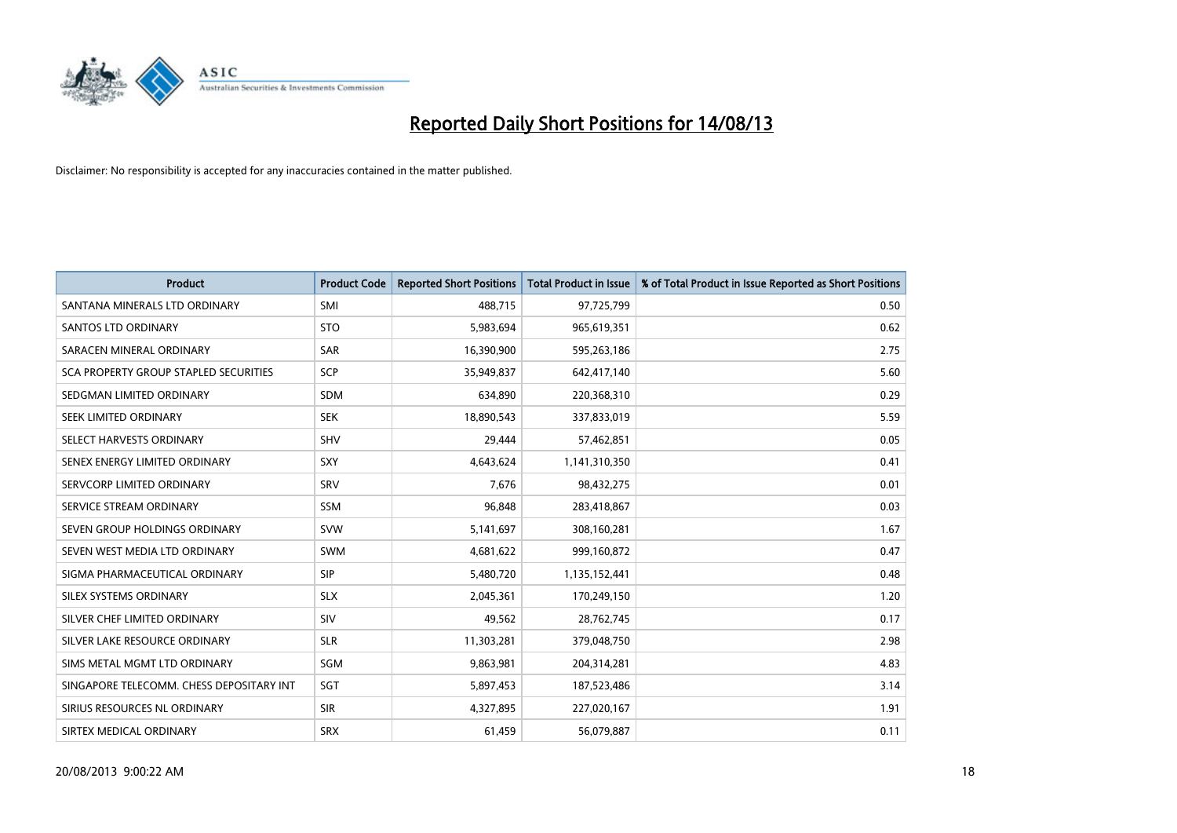

| <b>Product</b>                           | <b>Product Code</b> | <b>Reported Short Positions</b> | <b>Total Product in Issue</b> | % of Total Product in Issue Reported as Short Positions |
|------------------------------------------|---------------------|---------------------------------|-------------------------------|---------------------------------------------------------|
| SANTANA MINERALS LTD ORDINARY            | SMI                 | 488,715                         | 97,725,799                    | 0.50                                                    |
| SANTOS LTD ORDINARY                      | <b>STO</b>          | 5,983,694                       | 965,619,351                   | 0.62                                                    |
| SARACEN MINERAL ORDINARY                 | <b>SAR</b>          | 16,390,900                      | 595,263,186                   | 2.75                                                    |
| SCA PROPERTY GROUP STAPLED SECURITIES    | <b>SCP</b>          | 35,949,837                      | 642,417,140                   | 5.60                                                    |
| SEDGMAN LIMITED ORDINARY                 | <b>SDM</b>          | 634,890                         | 220,368,310                   | 0.29                                                    |
| SEEK LIMITED ORDINARY                    | <b>SEK</b>          | 18,890,543                      | 337,833,019                   | 5.59                                                    |
| SELECT HARVESTS ORDINARY                 | <b>SHV</b>          | 29,444                          | 57,462,851                    | 0.05                                                    |
| SENEX ENERGY LIMITED ORDINARY            | SXY                 | 4,643,624                       | 1,141,310,350                 | 0.41                                                    |
| SERVCORP LIMITED ORDINARY                | SRV                 | 7,676                           | 98,432,275                    | 0.01                                                    |
| SERVICE STREAM ORDINARY                  | <b>SSM</b>          | 96,848                          | 283,418,867                   | 0.03                                                    |
| SEVEN GROUP HOLDINGS ORDINARY            | <b>SVW</b>          | 5,141,697                       | 308,160,281                   | 1.67                                                    |
| SEVEN WEST MEDIA LTD ORDINARY            | <b>SWM</b>          | 4,681,622                       | 999,160,872                   | 0.47                                                    |
| SIGMA PHARMACEUTICAL ORDINARY            | <b>SIP</b>          | 5,480,720                       | 1,135,152,441                 | 0.48                                                    |
| SILEX SYSTEMS ORDINARY                   | <b>SLX</b>          | 2,045,361                       | 170,249,150                   | 1.20                                                    |
| SILVER CHEF LIMITED ORDINARY             | SIV                 | 49,562                          | 28,762,745                    | 0.17                                                    |
| SILVER LAKE RESOURCE ORDINARY            | <b>SLR</b>          | 11,303,281                      | 379,048,750                   | 2.98                                                    |
| SIMS METAL MGMT LTD ORDINARY             | SGM                 | 9,863,981                       | 204,314,281                   | 4.83                                                    |
| SINGAPORE TELECOMM. CHESS DEPOSITARY INT | SGT                 | 5,897,453                       | 187,523,486                   | 3.14                                                    |
| SIRIUS RESOURCES NL ORDINARY             | <b>SIR</b>          | 4,327,895                       | 227,020,167                   | 1.91                                                    |
| SIRTEX MEDICAL ORDINARY                  | <b>SRX</b>          | 61,459                          | 56,079,887                    | 0.11                                                    |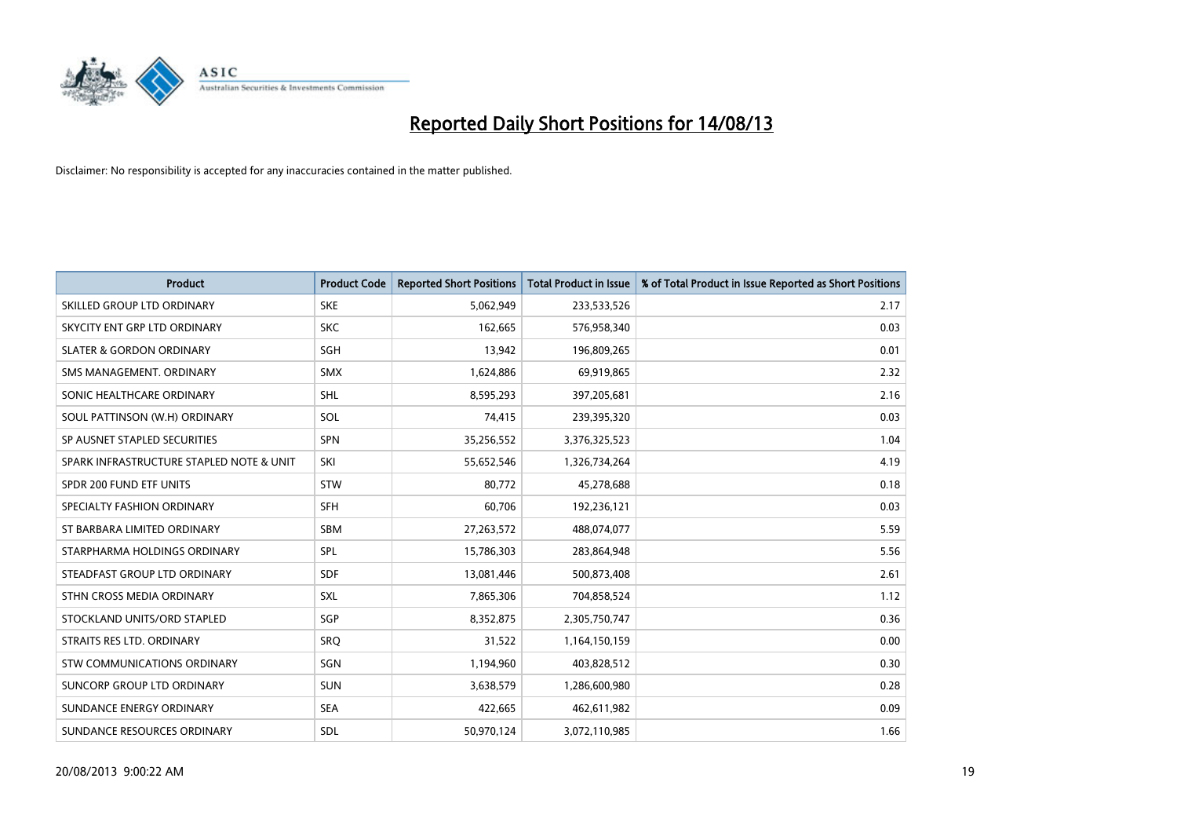

| <b>Product</b>                           | <b>Product Code</b> | <b>Reported Short Positions</b> | <b>Total Product in Issue</b> | % of Total Product in Issue Reported as Short Positions |
|------------------------------------------|---------------------|---------------------------------|-------------------------------|---------------------------------------------------------|
| SKILLED GROUP LTD ORDINARY               | <b>SKE</b>          | 5,062,949                       | 233,533,526                   | 2.17                                                    |
| SKYCITY ENT GRP LTD ORDINARY             | <b>SKC</b>          | 162,665                         | 576,958,340                   | 0.03                                                    |
| <b>SLATER &amp; GORDON ORDINARY</b>      | SGH                 | 13,942                          | 196,809,265                   | 0.01                                                    |
| SMS MANAGEMENT, ORDINARY                 | <b>SMX</b>          | 1,624,886                       | 69,919,865                    | 2.32                                                    |
| SONIC HEALTHCARE ORDINARY                | SHL                 | 8,595,293                       | 397,205,681                   | 2.16                                                    |
| SOUL PATTINSON (W.H) ORDINARY            | SOL                 | 74,415                          | 239,395,320                   | 0.03                                                    |
| SP AUSNET STAPLED SECURITIES             | SPN                 | 35,256,552                      | 3,376,325,523                 | 1.04                                                    |
| SPARK INFRASTRUCTURE STAPLED NOTE & UNIT | SKI                 | 55,652,546                      | 1,326,734,264                 | 4.19                                                    |
| SPDR 200 FUND ETF UNITS                  | <b>STW</b>          | 80,772                          | 45,278,688                    | 0.18                                                    |
| SPECIALTY FASHION ORDINARY               | SFH                 | 60,706                          | 192,236,121                   | 0.03                                                    |
| ST BARBARA LIMITED ORDINARY              | <b>SBM</b>          | 27,263,572                      | 488,074,077                   | 5.59                                                    |
| STARPHARMA HOLDINGS ORDINARY             | SPL                 | 15,786,303                      | 283,864,948                   | 5.56                                                    |
| STEADFAST GROUP LTD ORDINARY             | <b>SDF</b>          | 13,081,446                      | 500,873,408                   | 2.61                                                    |
| STHN CROSS MEDIA ORDINARY                | SXL                 | 7,865,306                       | 704,858,524                   | 1.12                                                    |
| STOCKLAND UNITS/ORD STAPLED              | SGP                 | 8,352,875                       | 2,305,750,747                 | 0.36                                                    |
| STRAITS RES LTD. ORDINARY                | SRQ                 | 31,522                          | 1,164,150,159                 | 0.00                                                    |
| <b>STW COMMUNICATIONS ORDINARY</b>       | SGN                 | 1,194,960                       | 403,828,512                   | 0.30                                                    |
| SUNCORP GROUP LTD ORDINARY               | <b>SUN</b>          | 3,638,579                       | 1,286,600,980                 | 0.28                                                    |
| SUNDANCE ENERGY ORDINARY                 | <b>SEA</b>          | 422,665                         | 462,611,982                   | 0.09                                                    |
| SUNDANCE RESOURCES ORDINARY              | <b>SDL</b>          | 50,970,124                      | 3,072,110,985                 | 1.66                                                    |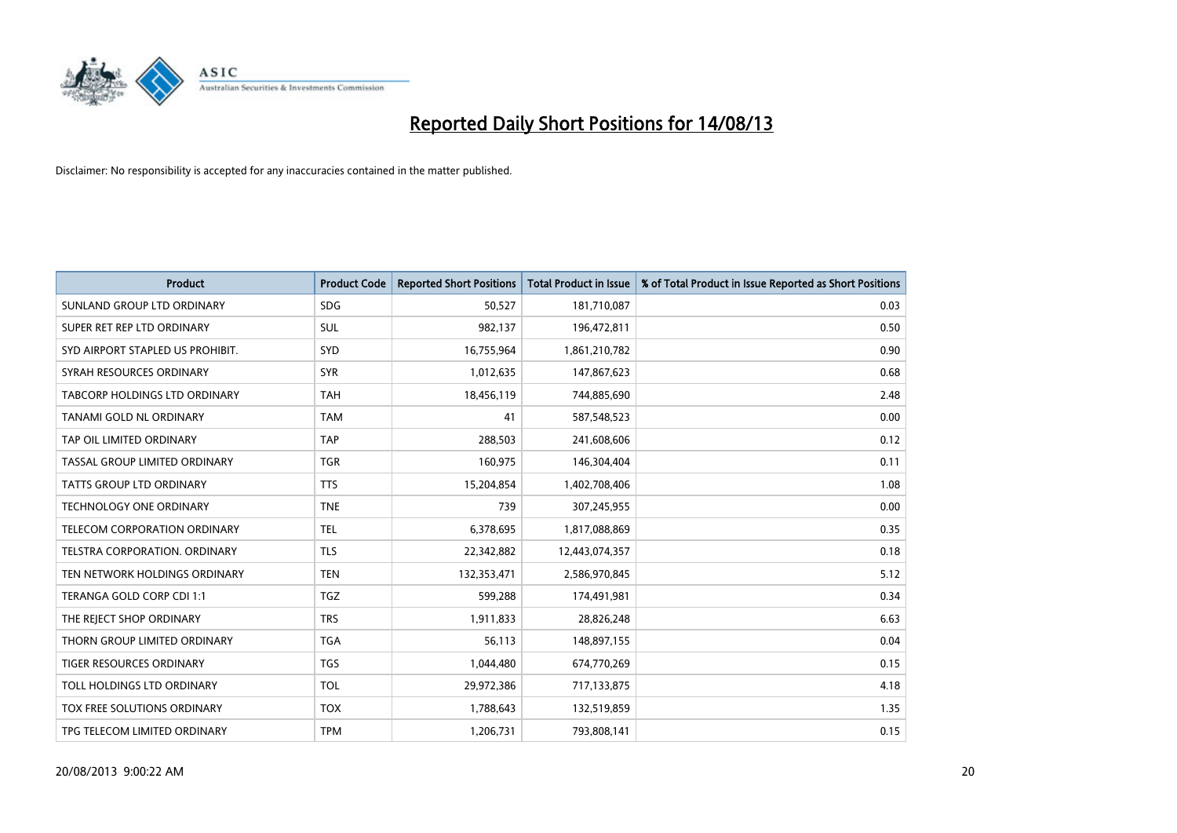

| <b>Product</b>                       | <b>Product Code</b> | <b>Reported Short Positions</b> | <b>Total Product in Issue</b> | % of Total Product in Issue Reported as Short Positions |
|--------------------------------------|---------------------|---------------------------------|-------------------------------|---------------------------------------------------------|
| SUNLAND GROUP LTD ORDINARY           | <b>SDG</b>          | 50,527                          | 181,710,087                   | 0.03                                                    |
| SUPER RET REP LTD ORDINARY           | SUL                 | 982,137                         | 196,472,811                   | 0.50                                                    |
| SYD AIRPORT STAPLED US PROHIBIT.     | SYD                 | 16,755,964                      | 1,861,210,782                 | 0.90                                                    |
| SYRAH RESOURCES ORDINARY             | <b>SYR</b>          | 1,012,635                       | 147,867,623                   | 0.68                                                    |
| TABCORP HOLDINGS LTD ORDINARY        | <b>TAH</b>          | 18,456,119                      | 744,885,690                   | 2.48                                                    |
| TANAMI GOLD NL ORDINARY              | <b>TAM</b>          | 41                              | 587,548,523                   | 0.00                                                    |
| TAP OIL LIMITED ORDINARY             | <b>TAP</b>          | 288,503                         | 241,608,606                   | 0.12                                                    |
| TASSAL GROUP LIMITED ORDINARY        | <b>TGR</b>          | 160,975                         | 146,304,404                   | 0.11                                                    |
| <b>TATTS GROUP LTD ORDINARY</b>      | <b>TTS</b>          | 15,204,854                      | 1,402,708,406                 | 1.08                                                    |
| <b>TECHNOLOGY ONE ORDINARY</b>       | <b>TNE</b>          | 739                             | 307,245,955                   | 0.00                                                    |
| TELECOM CORPORATION ORDINARY         | <b>TEL</b>          | 6,378,695                       | 1,817,088,869                 | 0.35                                                    |
| <b>TELSTRA CORPORATION, ORDINARY</b> | <b>TLS</b>          | 22,342,882                      | 12,443,074,357                | 0.18                                                    |
| TEN NETWORK HOLDINGS ORDINARY        | <b>TEN</b>          | 132,353,471                     | 2,586,970,845                 | 5.12                                                    |
| TERANGA GOLD CORP CDI 1:1            | <b>TGZ</b>          | 599,288                         | 174,491,981                   | 0.34                                                    |
| THE REJECT SHOP ORDINARY             | <b>TRS</b>          | 1,911,833                       | 28,826,248                    | 6.63                                                    |
| THORN GROUP LIMITED ORDINARY         | <b>TGA</b>          | 56,113                          | 148,897,155                   | 0.04                                                    |
| TIGER RESOURCES ORDINARY             | <b>TGS</b>          | 1,044,480                       | 674,770,269                   | 0.15                                                    |
| TOLL HOLDINGS LTD ORDINARY           | <b>TOL</b>          | 29,972,386                      | 717,133,875                   | 4.18                                                    |
| TOX FREE SOLUTIONS ORDINARY          | <b>TOX</b>          | 1,788,643                       | 132,519,859                   | 1.35                                                    |
| TPG TELECOM LIMITED ORDINARY         | <b>TPM</b>          | 1,206,731                       | 793,808,141                   | 0.15                                                    |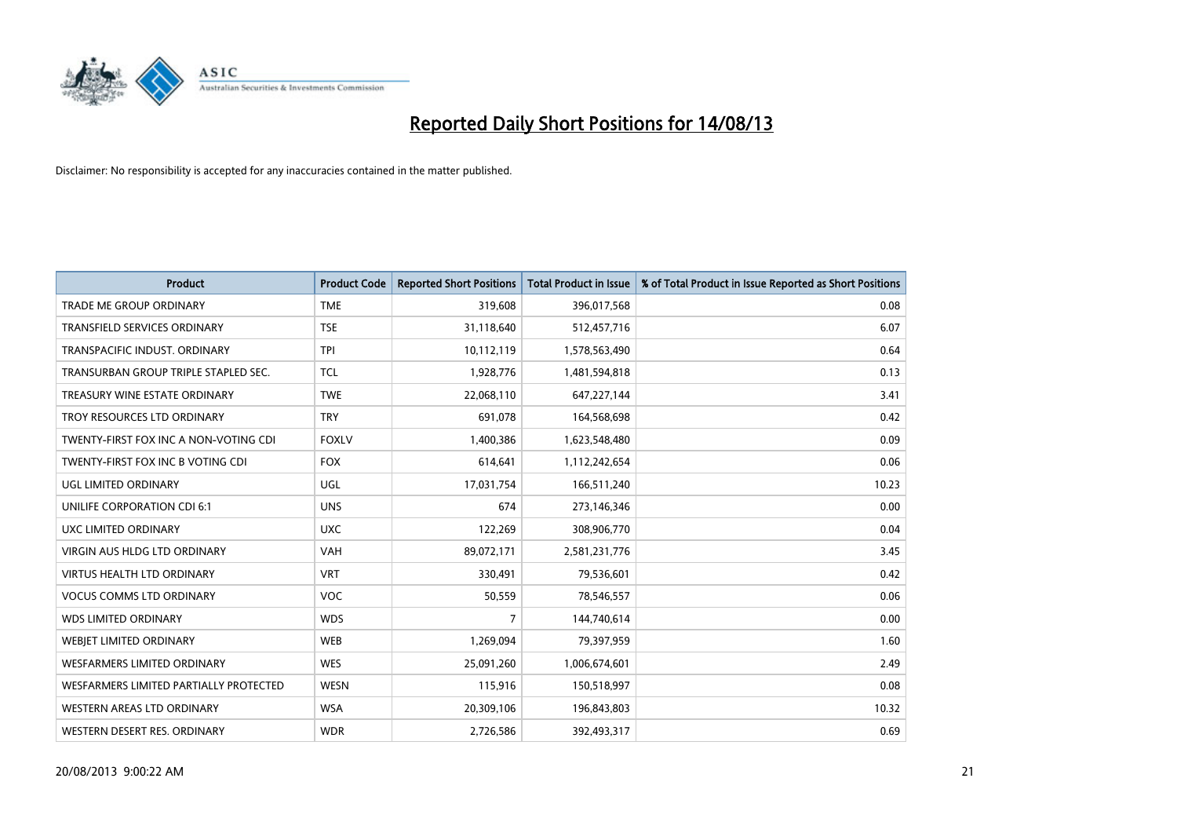

| <b>Product</b>                         | <b>Product Code</b> | <b>Reported Short Positions</b> | <b>Total Product in Issue</b> | % of Total Product in Issue Reported as Short Positions |
|----------------------------------------|---------------------|---------------------------------|-------------------------------|---------------------------------------------------------|
| <b>TRADE ME GROUP ORDINARY</b>         | <b>TME</b>          | 319,608                         | 396,017,568                   | 0.08                                                    |
| TRANSFIELD SERVICES ORDINARY           | <b>TSE</b>          | 31,118,640                      | 512,457,716                   | 6.07                                                    |
| TRANSPACIFIC INDUST. ORDINARY          | <b>TPI</b>          | 10,112,119                      | 1,578,563,490                 | 0.64                                                    |
| TRANSURBAN GROUP TRIPLE STAPLED SEC.   | <b>TCL</b>          | 1,928,776                       | 1,481,594,818                 | 0.13                                                    |
| TREASURY WINE ESTATE ORDINARY          | <b>TWE</b>          | 22,068,110                      | 647,227,144                   | 3.41                                                    |
| TROY RESOURCES LTD ORDINARY            | <b>TRY</b>          | 691,078                         | 164,568,698                   | 0.42                                                    |
| TWENTY-FIRST FOX INC A NON-VOTING CDI  | <b>FOXLV</b>        | 1,400,386                       | 1,623,548,480                 | 0.09                                                    |
| TWENTY-FIRST FOX INC B VOTING CDI      | <b>FOX</b>          | 614,641                         | 1,112,242,654                 | 0.06                                                    |
| UGL LIMITED ORDINARY                   | UGL                 | 17,031,754                      | 166,511,240                   | 10.23                                                   |
| UNILIFE CORPORATION CDI 6:1            | <b>UNS</b>          | 674                             | 273,146,346                   | 0.00                                                    |
| UXC LIMITED ORDINARY                   | <b>UXC</b>          | 122,269                         | 308,906,770                   | 0.04                                                    |
| <b>VIRGIN AUS HLDG LTD ORDINARY</b>    | VAH                 | 89,072,171                      | 2,581,231,776                 | 3.45                                                    |
| <b>VIRTUS HEALTH LTD ORDINARY</b>      | <b>VRT</b>          | 330,491                         | 79,536,601                    | 0.42                                                    |
| <b>VOCUS COMMS LTD ORDINARY</b>        | VOC                 | 50,559                          | 78,546,557                    | 0.06                                                    |
| <b>WDS LIMITED ORDINARY</b>            | <b>WDS</b>          | 7                               | 144,740,614                   | 0.00                                                    |
| <b>WEBIET LIMITED ORDINARY</b>         | <b>WEB</b>          | 1,269,094                       | 79,397,959                    | 1.60                                                    |
| WESFARMERS LIMITED ORDINARY            | <b>WES</b>          | 25,091,260                      | 1,006,674,601                 | 2.49                                                    |
| WESFARMERS LIMITED PARTIALLY PROTECTED | <b>WESN</b>         | 115,916                         | 150,518,997                   | 0.08                                                    |
| WESTERN AREAS LTD ORDINARY             | <b>WSA</b>          | 20,309,106                      | 196,843,803                   | 10.32                                                   |
| WESTERN DESERT RES. ORDINARY           | <b>WDR</b>          | 2,726,586                       | 392,493,317                   | 0.69                                                    |